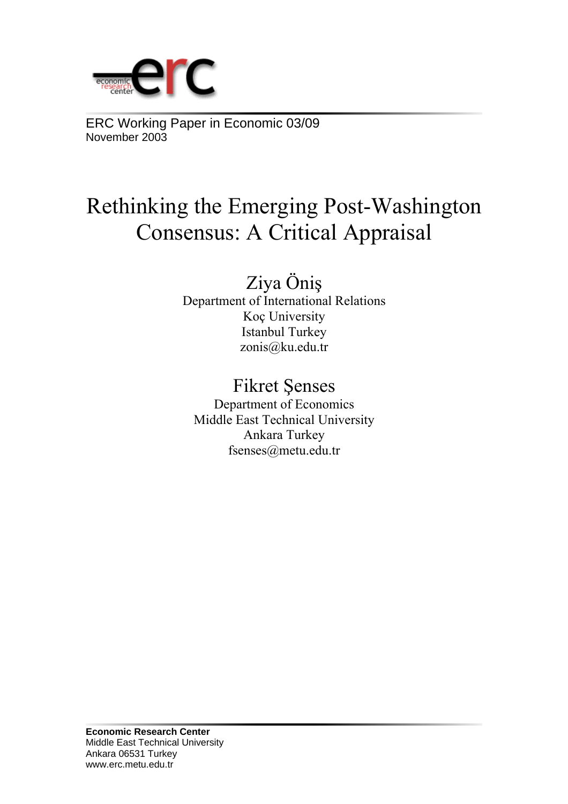

ERC Working Paper in Economic 03/09 November 2003

# Rethinking the Emerging Post-Washington Consensus: A Critical Appraisal

# Ziya Öniş

Department of International Relations Koç University Istanbul Turkey zonis@ku.edu.tr

# Fikret Şenses

Department of Economics Middle East Technical University Ankara Turkey fsenses@metu.edu.tr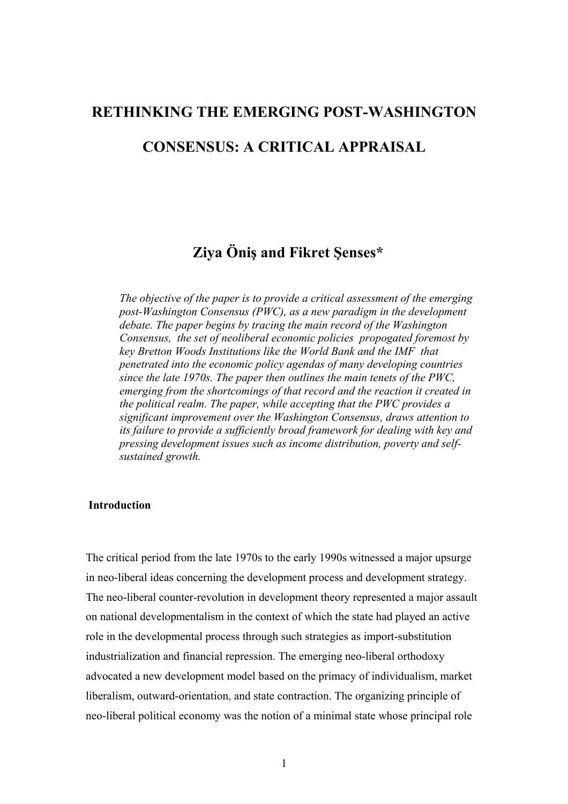# **RETHINKING THE EMERGING POST-WASHINGTON**

## **CONSENSUS: A CRITICAL APPRAISAL**

## **Ziya Öniş and Fikret Şenses\***

*The objective of the paper is to provide a critical assessment of the emerging post-Washington Consensus (PWC), as a new paradigm in the development debate. The paper begins by tracing the main record of the Washington Consensus, the set of neoliberal economic policies propogated foremost by key Bretton Woods Institutions like the World Bank and the IMF that penetrated into the economic policy agendas of many developing countries since the late 1970s. The paper then outlines the main tenets of the PWC, emerging from the shortcomings of that record and the reaction it created in the political realm. The paper, while accepting that the PWC provides a significant improvement over the Washington Consensus, draws attention to its failure to provide a sufficiently broad framework for dealing with key and pressing development issues such as income distribution, poverty and selfsustained growth.* 

#### **Introduction**

The critical period from the late 1970s to the early 1990s witnessed a major upsurge in neo-liberal ideas concerning the development process and development strategy. The neo-liberal counter-revolution in development theory represented a major assault on national developmentalism in the context of which the state had played an active role in the developmental process through such strategies as import-substitution industrialization and financial repression. The emerging neo-liberal orthodoxy advocated a new development model based on the primacy of individualism, market liberalism, outward-orientation, and state contraction. The organizing principle of neo-liberal political economy was the notion of a minimal state whose principal role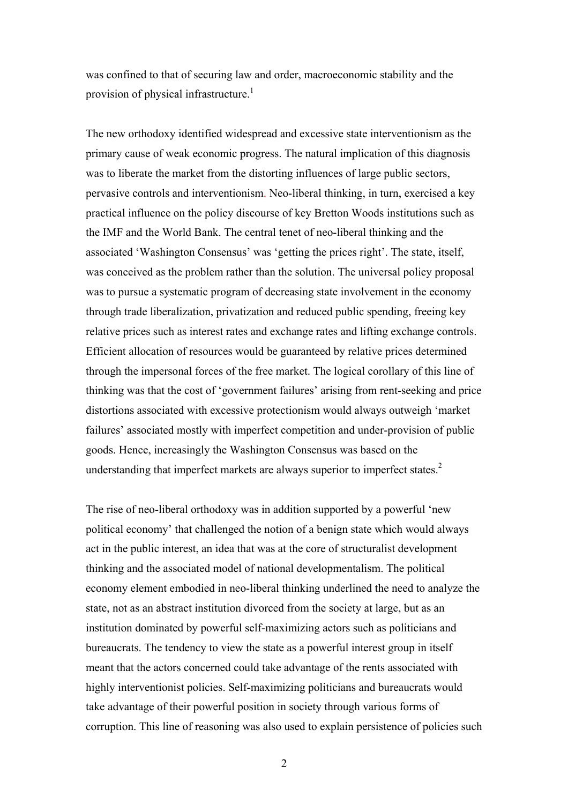was confined to that of securing law and order, macroeconomic stability and the provision of physical infrastructure.<sup>1</sup>

The new orthodoxy identified widespread and excessive state interventionism as the primary cause of weak economic progress. The natural implication of this diagnosis was to liberate the market from the distorting influences of large public sectors, pervasive controls and interventionism. Neo-liberal thinking, in turn, exercised a key practical influence on the policy discourse of key Bretton Woods institutions such as the IMF and the World Bank. The central tenet of neo-liberal thinking and the associated 'Washington Consensus' was 'getting the prices right'. The state, itself, was conceived as the problem rather than the solution. The universal policy proposal was to pursue a systematic program of decreasing state involvement in the economy through trade liberalization, privatization and reduced public spending, freeing key relative prices such as interest rates and exchange rates and lifting exchange controls. Efficient allocation of resources would be guaranteed by relative prices determined through the impersonal forces of the free market. The logical corollary of this line of thinking was that the cost of 'government failures' arising from rent-seeking and price distortions associated with excessive protectionism would always outweigh 'market failures' associated mostly with imperfect competition and under-provision of public goods. Hence, increasingly the Washington Consensus was based on the understanding that imperfect markets are always superior to imperfect states.<sup>2</sup>

The rise of neo-liberal orthodoxy was in addition supported by a powerful 'new political economy' that challenged the notion of a benign state which would always act in the public interest, an idea that was at the core of structuralist development thinking and the associated model of national developmentalism. The political economy element embodied in neo-liberal thinking underlined the need to analyze the state, not as an abstract institution divorced from the society at large, but as an institution dominated by powerful self-maximizing actors such as politicians and bureaucrats. The tendency to view the state as a powerful interest group in itself meant that the actors concerned could take advantage of the rents associated with highly interventionist policies. Self-maximizing politicians and bureaucrats would take advantage of their powerful position in society through various forms of corruption. This line of reasoning was also used to explain persistence of policies such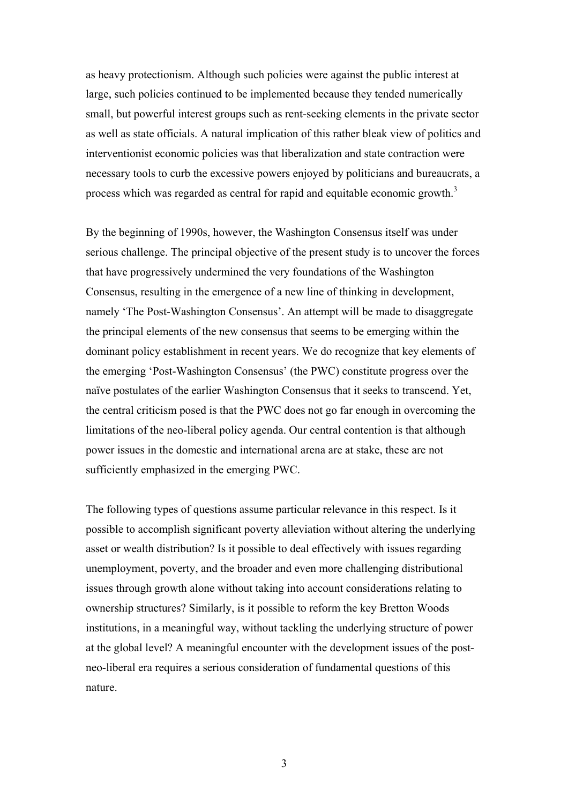as heavy protectionism. Although such policies were against the public interest at large, such policies continued to be implemented because they tended numerically small, but powerful interest groups such as rent-seeking elements in the private sector as well as state officials. A natural implication of this rather bleak view of politics and interventionist economic policies was that liberalization and state contraction were necessary tools to curb the excessive powers enjoyed by politicians and bureaucrats, a process which was regarded as central for rapid and equitable economic growth.<sup>3</sup>

By the beginning of 1990s, however, the Washington Consensus itself was under serious challenge. The principal objective of the present study is to uncover the forces that have progressively undermined the very foundations of the Washington Consensus, resulting in the emergence of a new line of thinking in development, namely 'The Post-Washington Consensus'. An attempt will be made to disaggregate the principal elements of the new consensus that seems to be emerging within the dominant policy establishment in recent years. We do recognize that key elements of the emerging 'Post-Washington Consensus' (the PWC) constitute progress over the naïve postulates of the earlier Washington Consensus that it seeks to transcend. Yet, the central criticism posed is that the PWC does not go far enough in overcoming the limitations of the neo-liberal policy agenda. Our central contention is that although power issues in the domestic and international arena are at stake, these are not sufficiently emphasized in the emerging PWC.

The following types of questions assume particular relevance in this respect. Is it possible to accomplish significant poverty alleviation without altering the underlying asset or wealth distribution? Is it possible to deal effectively with issues regarding unemployment, poverty, and the broader and even more challenging distributional issues through growth alone without taking into account considerations relating to ownership structures? Similarly, is it possible to reform the key Bretton Woods institutions, in a meaningful way, without tackling the underlying structure of power at the global level? A meaningful encounter with the development issues of the postneo-liberal era requires a serious consideration of fundamental questions of this nature.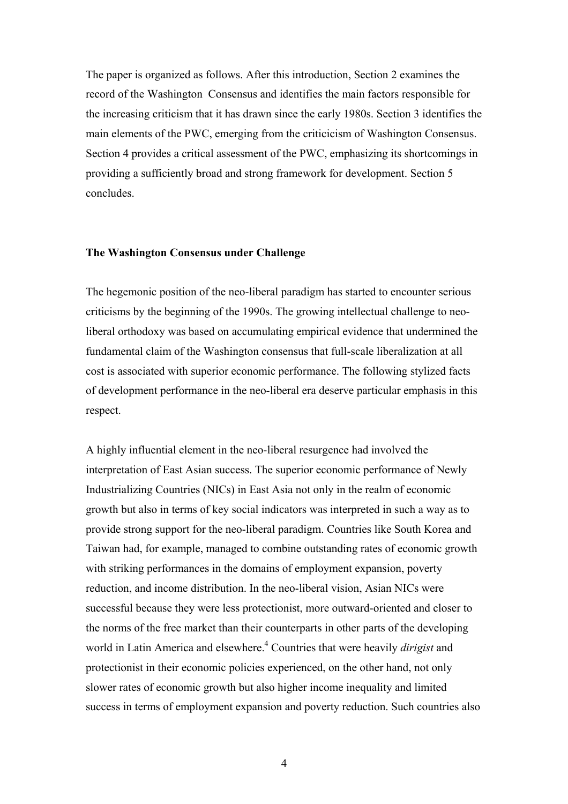The paper is organized as follows. After this introduction, Section 2 examines the record of the Washington Consensus and identifies the main factors responsible for the increasing criticism that it has drawn since the early 1980s. Section 3 identifies the main elements of the PWC, emerging from the criticicism of Washington Consensus. Section 4 provides a critical assessment of the PWC, emphasizing its shortcomings in providing a sufficiently broad and strong framework for development. Section 5 concludes.

#### **The Washington Consensus under Challenge**

The hegemonic position of the neo-liberal paradigm has started to encounter serious criticisms by the beginning of the 1990s. The growing intellectual challenge to neoliberal orthodoxy was based on accumulating empirical evidence that undermined the fundamental claim of the Washington consensus that full-scale liberalization at all cost is associated with superior economic performance. The following stylized facts of development performance in the neo-liberal era deserve particular emphasis in this respect.

A highly influential element in the neo-liberal resurgence had involved the interpretation of East Asian success. The superior economic performance of Newly Industrializing Countries (NICs) in East Asia not only in the realm of economic growth but also in terms of key social indicators was interpreted in such a way as to provide strong support for the neo-liberal paradigm. Countries like South Korea and Taiwan had, for example, managed to combine outstanding rates of economic growth with striking performances in the domains of employment expansion, poverty reduction, and income distribution. In the neo-liberal vision, Asian NICs were successful because they were less protectionist, more outward-oriented and closer to the norms of the free market than their counterparts in other parts of the developing world in Latin America and elsewhere.<sup>4</sup> Countries that were heavily *dirigist* and protectionist in their economic policies experienced, on the other hand, not only slower rates of economic growth but also higher income inequality and limited success in terms of employment expansion and poverty reduction. Such countries also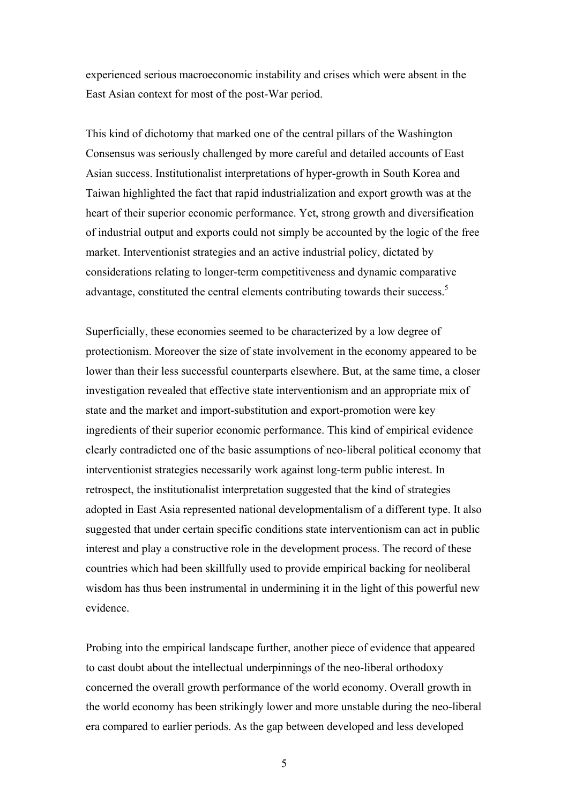experienced serious macroeconomic instability and crises which were absent in the East Asian context for most of the post-War period.

This kind of dichotomy that marked one of the central pillars of the Washington Consensus was seriously challenged by more careful and detailed accounts of East Asian success. Institutionalist interpretations of hyper-growth in South Korea and Taiwan highlighted the fact that rapid industrialization and export growth was at the heart of their superior economic performance. Yet, strong growth and diversification of industrial output and exports could not simply be accounted by the logic of the free market. Interventionist strategies and an active industrial policy, dictated by considerations relating to longer-term competitiveness and dynamic comparative advantage, constituted the central elements contributing towards their success.<sup>5</sup>

Superficially, these economies seemed to be characterized by a low degree of protectionism. Moreover the size of state involvement in the economy appeared to be lower than their less successful counterparts elsewhere. But, at the same time, a closer investigation revealed that effective state interventionism and an appropriate mix of state and the market and import-substitution and export-promotion were key ingredients of their superior economic performance. This kind of empirical evidence clearly contradicted one of the basic assumptions of neo-liberal political economy that interventionist strategies necessarily work against long-term public interest. In retrospect, the institutionalist interpretation suggested that the kind of strategies adopted in East Asia represented national developmentalism of a different type. It also suggested that under certain specific conditions state interventionism can act in public interest and play a constructive role in the development process. The record of these countries which had been skillfully used to provide empirical backing for neoliberal wisdom has thus been instrumental in undermining it in the light of this powerful new evidence.

Probing into the empirical landscape further, another piece of evidence that appeared to cast doubt about the intellectual underpinnings of the neo-liberal orthodoxy concerned the overall growth performance of the world economy. Overall growth in the world economy has been strikingly lower and more unstable during the neo-liberal era compared to earlier periods. As the gap between developed and less developed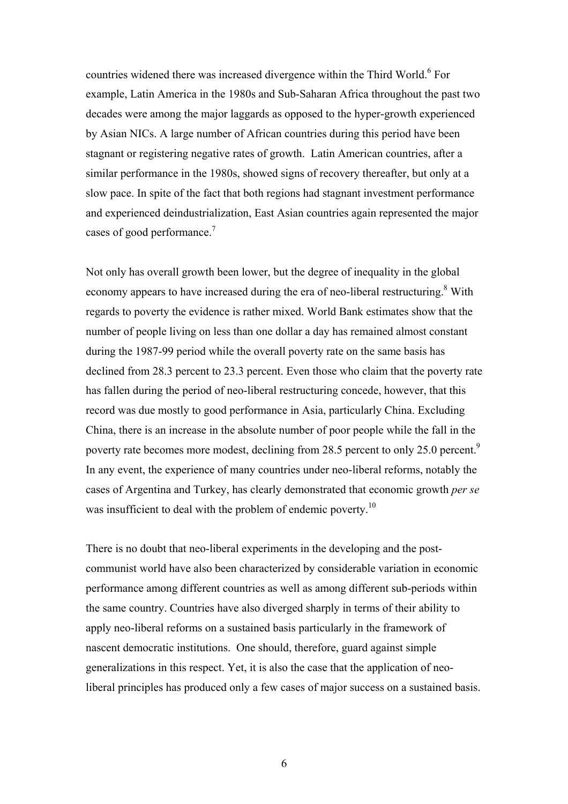countries widened there was increased divergence within the Third World.<sup>6</sup> For example, Latin America in the 1980s and Sub-Saharan Africa throughout the past two decades were among the major laggards as opposed to the hyper-growth experienced by Asian NICs. A large number of African countries during this period have been stagnant or registering negative rates of growth. Latin American countries, after a similar performance in the 1980s, showed signs of recovery thereafter, but only at a slow pace. In spite of the fact that both regions had stagnant investment performance and experienced deindustrialization, East Asian countries again represented the major cases of good performance. $<sup>7</sup>$ </sup>

Not only has overall growth been lower, but the degree of inequality in the global economy appears to have increased during the era of neo-liberal restructuring.<sup>8</sup> With regards to poverty the evidence is rather mixed. World Bank estimates show that the number of people living on less than one dollar a day has remained almost constant during the 1987-99 period while the overall poverty rate on the same basis has declined from 28.3 percent to 23.3 percent. Even those who claim that the poverty rate has fallen during the period of neo-liberal restructuring concede, however, that this record was due mostly to good performance in Asia, particularly China. Excluding China, there is an increase in the absolute number of poor people while the fall in the poverty rate becomes more modest, declining from 28.5 percent to only 25.0 percent.<sup>9</sup> In any event, the experience of many countries under neo-liberal reforms, notably the cases of Argentina and Turkey, has clearly demonstrated that economic growth *per se*  was insufficient to deal with the problem of endemic poverty.<sup>10</sup>

There is no doubt that neo-liberal experiments in the developing and the postcommunist world have also been characterized by considerable variation in economic performance among different countries as well as among different sub-periods within the same country. Countries have also diverged sharply in terms of their ability to apply neo-liberal reforms on a sustained basis particularly in the framework of nascent democratic institutions. One should, therefore, guard against simple generalizations in this respect. Yet, it is also the case that the application of neoliberal principles has produced only a few cases of major success on a sustained basis.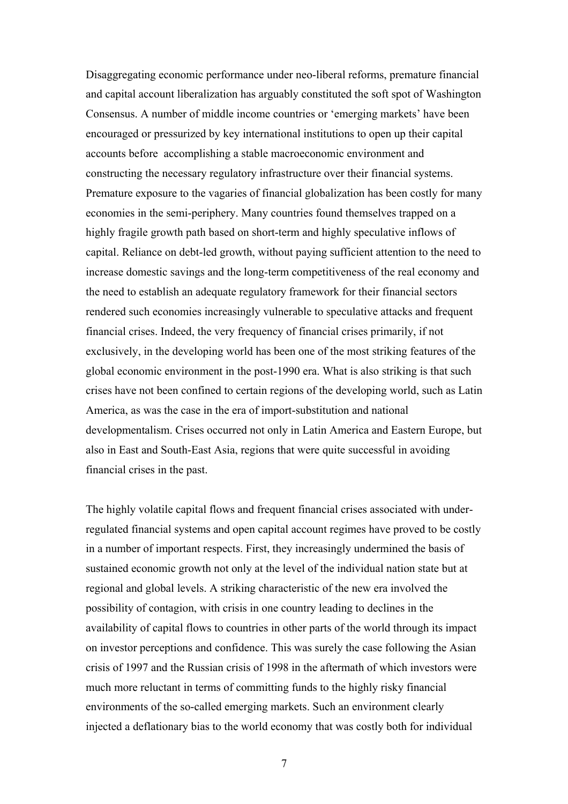Disaggregating economic performance under neo-liberal reforms, premature financial and capital account liberalization has arguably constituted the soft spot of Washington Consensus. A number of middle income countries or 'emerging markets' have been encouraged or pressurized by key international institutions to open up their capital accounts before accomplishing a stable macroeconomic environment and constructing the necessary regulatory infrastructure over their financial systems. Premature exposure to the vagaries of financial globalization has been costly for many economies in the semi-periphery. Many countries found themselves trapped on a highly fragile growth path based on short-term and highly speculative inflows of capital. Reliance on debt-led growth, without paying sufficient attention to the need to increase domestic savings and the long-term competitiveness of the real economy and the need to establish an adequate regulatory framework for their financial sectors rendered such economies increasingly vulnerable to speculative attacks and frequent financial crises. Indeed, the very frequency of financial crises primarily, if not exclusively, in the developing world has been one of the most striking features of the global economic environment in the post-1990 era. What is also striking is that such crises have not been confined to certain regions of the developing world, such as Latin America, as was the case in the era of import-substitution and national developmentalism. Crises occurred not only in Latin America and Eastern Europe, but also in East and South-East Asia, regions that were quite successful in avoiding financial crises in the past.

The highly volatile capital flows and frequent financial crises associated with underregulated financial systems and open capital account regimes have proved to be costly in a number of important respects. First, they increasingly undermined the basis of sustained economic growth not only at the level of the individual nation state but at regional and global levels. A striking characteristic of the new era involved the possibility of contagion, with crisis in one country leading to declines in the availability of capital flows to countries in other parts of the world through its impact on investor perceptions and confidence. This was surely the case following the Asian crisis of 1997 and the Russian crisis of 1998 in the aftermath of which investors were much more reluctant in terms of committing funds to the highly risky financial environments of the so-called emerging markets. Such an environment clearly injected a deflationary bias to the world economy that was costly both for individual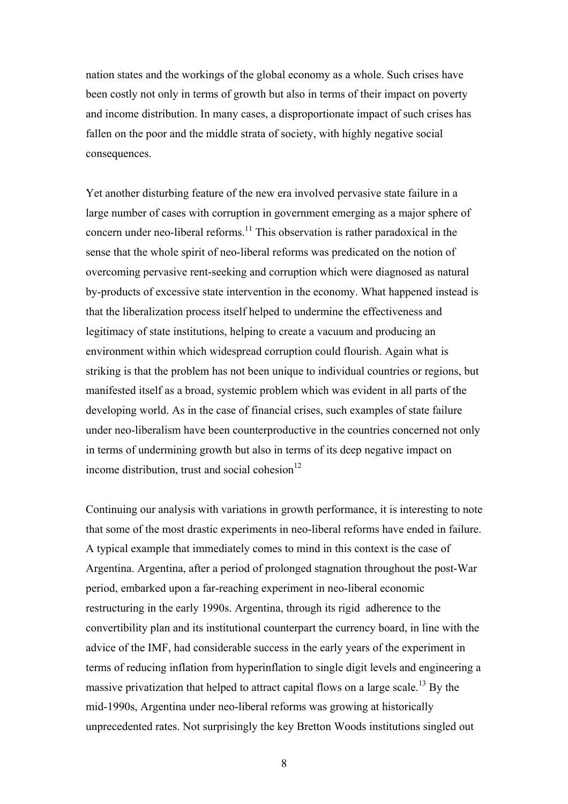nation states and the workings of the global economy as a whole. Such crises have been costly not only in terms of growth but also in terms of their impact on poverty and income distribution. In many cases, a disproportionate impact of such crises has fallen on the poor and the middle strata of society, with highly negative social consequences.

Yet another disturbing feature of the new era involved pervasive state failure in a large number of cases with corruption in government emerging as a major sphere of concern under neo-liberal reforms.<sup>11</sup> This observation is rather paradoxical in the sense that the whole spirit of neo-liberal reforms was predicated on the notion of overcoming pervasive rent-seeking and corruption which were diagnosed as natural by-products of excessive state intervention in the economy. What happened instead is that the liberalization process itself helped to undermine the effectiveness and legitimacy of state institutions, helping to create a vacuum and producing an environment within which widespread corruption could flourish. Again what is striking is that the problem has not been unique to individual countries or regions, but manifested itself as a broad, systemic problem which was evident in all parts of the developing world. As in the case of financial crises, such examples of state failure under neo-liberalism have been counterproductive in the countries concerned not only in terms of undermining growth but also in terms of its deep negative impact on income distribution, trust and social cohesion $12$ 

Continuing our analysis with variations in growth performance, it is interesting to note that some of the most drastic experiments in neo-liberal reforms have ended in failure. A typical example that immediately comes to mind in this context is the case of Argentina. Argentina, after a period of prolonged stagnation throughout the post-War period, embarked upon a far-reaching experiment in neo-liberal economic restructuring in the early 1990s. Argentina, through its rigid adherence to the convertibility plan and its institutional counterpart the currency board, in line with the advice of the IMF, had considerable success in the early years of the experiment in terms of reducing inflation from hyperinflation to single digit levels and engineering a massive privatization that helped to attract capital flows on a large scale.<sup>13</sup> By the mid-1990s, Argentina under neo-liberal reforms was growing at historically unprecedented rates. Not surprisingly the key Bretton Woods institutions singled out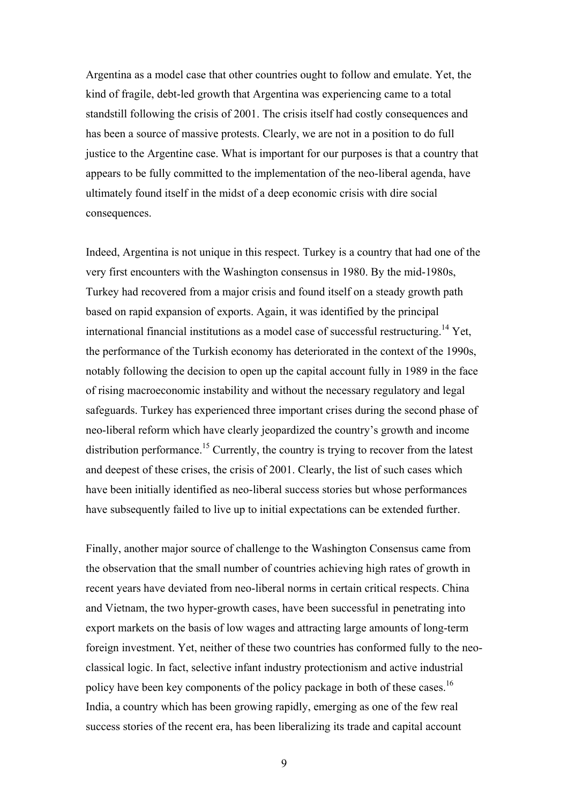Argentina as a model case that other countries ought to follow and emulate. Yet, the kind of fragile, debt-led growth that Argentina was experiencing came to a total standstill following the crisis of 2001. The crisis itself had costly consequences and has been a source of massive protests. Clearly, we are not in a position to do full justice to the Argentine case. What is important for our purposes is that a country that appears to be fully committed to the implementation of the neo-liberal agenda, have ultimately found itself in the midst of a deep economic crisis with dire social consequences.

Indeed, Argentina is not unique in this respect. Turkey is a country that had one of the very first encounters with the Washington consensus in 1980. By the mid-1980s, Turkey had recovered from a major crisis and found itself on a steady growth path based on rapid expansion of exports. Again, it was identified by the principal international financial institutions as a model case of successful restructuring.<sup>14</sup> Yet, the performance of the Turkish economy has deteriorated in the context of the 1990s, notably following the decision to open up the capital account fully in 1989 in the face of rising macroeconomic instability and without the necessary regulatory and legal safeguards. Turkey has experienced three important crises during the second phase of neo-liberal reform which have clearly jeopardized the country's growth and income distribution performance.<sup>15</sup> Currently, the country is trying to recover from the latest and deepest of these crises, the crisis of 2001. Clearly, the list of such cases which have been initially identified as neo-liberal success stories but whose performances have subsequently failed to live up to initial expectations can be extended further.

Finally, another major source of challenge to the Washington Consensus came from the observation that the small number of countries achieving high rates of growth in recent years have deviated from neo-liberal norms in certain critical respects. China and Vietnam, the two hyper-growth cases, have been successful in penetrating into export markets on the basis of low wages and attracting large amounts of long-term foreign investment. Yet, neither of these two countries has conformed fully to the neoclassical logic. In fact, selective infant industry protectionism and active industrial policy have been key components of the policy package in both of these cases.<sup>16</sup> India, a country which has been growing rapidly, emerging as one of the few real success stories of the recent era, has been liberalizing its trade and capital account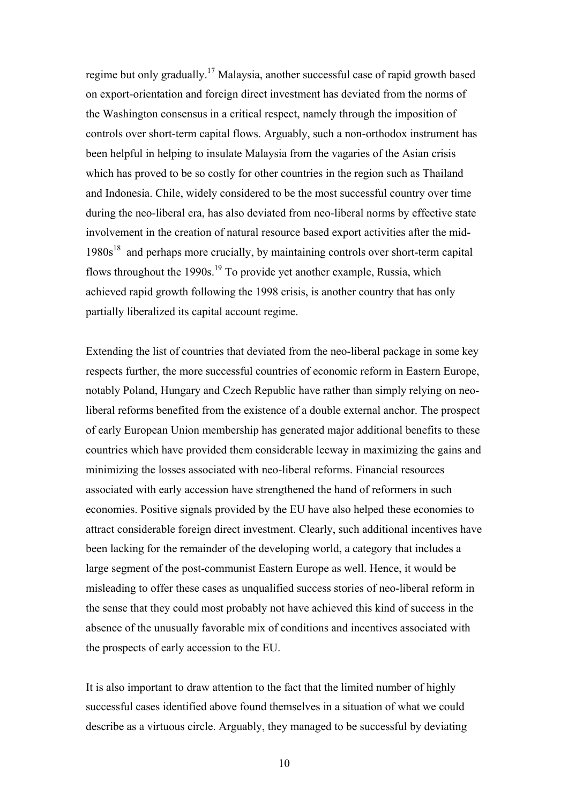regime but only gradually.17 Malaysia, another successful case of rapid growth based on export-orientation and foreign direct investment has deviated from the norms of the Washington consensus in a critical respect, namely through the imposition of controls over short-term capital flows. Arguably, such a non-orthodox instrument has been helpful in helping to insulate Malaysia from the vagaries of the Asian crisis which has proved to be so costly for other countries in the region such as Thailand and Indonesia. Chile, widely considered to be the most successful country over time during the neo-liberal era, has also deviated from neo-liberal norms by effective state involvement in the creation of natural resource based export activities after the mid- $1980s<sup>18</sup>$  and perhaps more crucially, by maintaining controls over short-term capital flows throughout the 1990s.<sup>19</sup> To provide yet another example, Russia, which achieved rapid growth following the 1998 crisis, is another country that has only partially liberalized its capital account regime.

Extending the list of countries that deviated from the neo-liberal package in some key respects further, the more successful countries of economic reform in Eastern Europe, notably Poland, Hungary and Czech Republic have rather than simply relying on neoliberal reforms benefited from the existence of a double external anchor. The prospect of early European Union membership has generated major additional benefits to these countries which have provided them considerable leeway in maximizing the gains and minimizing the losses associated with neo-liberal reforms. Financial resources associated with early accession have strengthened the hand of reformers in such economies. Positive signals provided by the EU have also helped these economies to attract considerable foreign direct investment. Clearly, such additional incentives have been lacking for the remainder of the developing world, a category that includes a large segment of the post-communist Eastern Europe as well. Hence, it would be misleading to offer these cases as unqualified success stories of neo-liberal reform in the sense that they could most probably not have achieved this kind of success in the absence of the unusually favorable mix of conditions and incentives associated with the prospects of early accession to the EU.

It is also important to draw attention to the fact that the limited number of highly successful cases identified above found themselves in a situation of what we could describe as a virtuous circle. Arguably, they managed to be successful by deviating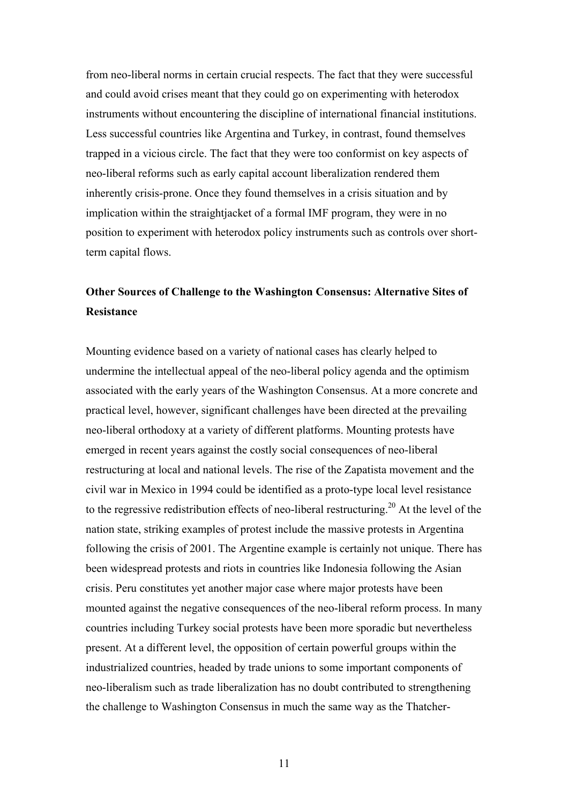from neo-liberal norms in certain crucial respects. The fact that they were successful and could avoid crises meant that they could go on experimenting with heterodox instruments without encountering the discipline of international financial institutions. Less successful countries like Argentina and Turkey, in contrast, found themselves trapped in a vicious circle. The fact that they were too conformist on key aspects of neo-liberal reforms such as early capital account liberalization rendered them inherently crisis-prone. Once they found themselves in a crisis situation and by implication within the straightjacket of a formal IMF program, they were in no position to experiment with heterodox policy instruments such as controls over shortterm capital flows.

## **Other Sources of Challenge to the Washington Consensus: Alternative Sites of Resistance**

Mounting evidence based on a variety of national cases has clearly helped to undermine the intellectual appeal of the neo-liberal policy agenda and the optimism associated with the early years of the Washington Consensus. At a more concrete and practical level, however, significant challenges have been directed at the prevailing neo-liberal orthodoxy at a variety of different platforms. Mounting protests have emerged in recent years against the costly social consequences of neo-liberal restructuring at local and national levels. The rise of the Zapatista movement and the civil war in Mexico in 1994 could be identified as a proto-type local level resistance to the regressive redistribution effects of neo-liberal restructuring.<sup>20</sup> At the level of the nation state, striking examples of protest include the massive protests in Argentina following the crisis of 2001. The Argentine example is certainly not unique. There has been widespread protests and riots in countries like Indonesia following the Asian crisis. Peru constitutes yet another major case where major protests have been mounted against the negative consequences of the neo-liberal reform process. In many countries including Turkey social protests have been more sporadic but nevertheless present. At a different level, the opposition of certain powerful groups within the industrialized countries, headed by trade unions to some important components of neo-liberalism such as trade liberalization has no doubt contributed to strengthening the challenge to Washington Consensus in much the same way as the Thatcher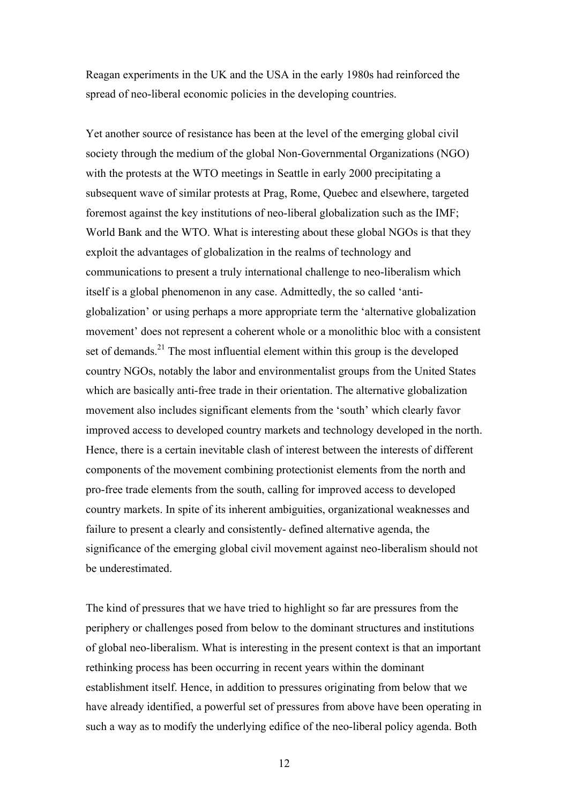Reagan experiments in the UK and the USA in the early 1980s had reinforced the spread of neo-liberal economic policies in the developing countries.

Yet another source of resistance has been at the level of the emerging global civil society through the medium of the global Non-Governmental Organizations (NGO) with the protests at the WTO meetings in Seattle in early 2000 precipitating a subsequent wave of similar protests at Prag, Rome, Quebec and elsewhere, targeted foremost against the key institutions of neo-liberal globalization such as the IMF; World Bank and the WTO. What is interesting about these global NGOs is that they exploit the advantages of globalization in the realms of technology and communications to present a truly international challenge to neo-liberalism which itself is a global phenomenon in any case. Admittedly, the so called 'antiglobalization' or using perhaps a more appropriate term the 'alternative globalization movement' does not represent a coherent whole or a monolithic bloc with a consistent set of demands.<sup>21</sup> The most influential element within this group is the developed country NGOs, notably the labor and environmentalist groups from the United States which are basically anti-free trade in their orientation. The alternative globalization movement also includes significant elements from the 'south' which clearly favor improved access to developed country markets and technology developed in the north. Hence, there is a certain inevitable clash of interest between the interests of different components of the movement combining protectionist elements from the north and pro-free trade elements from the south, calling for improved access to developed country markets. In spite of its inherent ambiguities, organizational weaknesses and failure to present a clearly and consistently- defined alternative agenda, the significance of the emerging global civil movement against neo-liberalism should not be underestimated.

The kind of pressures that we have tried to highlight so far are pressures from the periphery or challenges posed from below to the dominant structures and institutions of global neo-liberalism. What is interesting in the present context is that an important rethinking process has been occurring in recent years within the dominant establishment itself. Hence, in addition to pressures originating from below that we have already identified, a powerful set of pressures from above have been operating in such a way as to modify the underlying edifice of the neo-liberal policy agenda. Both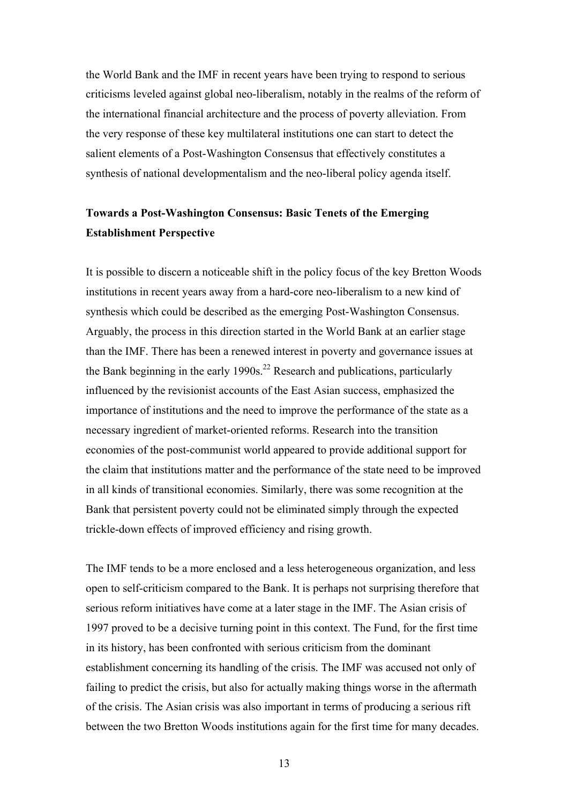the World Bank and the IMF in recent years have been trying to respond to serious criticisms leveled against global neo-liberalism, notably in the realms of the reform of the international financial architecture and the process of poverty alleviation. From the very response of these key multilateral institutions one can start to detect the salient elements of a Post-Washington Consensus that effectively constitutes a synthesis of national developmentalism and the neo-liberal policy agenda itself.

## **Towards a Post-Washington Consensus: Basic Tenets of the Emerging Establishment Perspective**

It is possible to discern a noticeable shift in the policy focus of the key Bretton Woods institutions in recent years away from a hard-core neo-liberalism to a new kind of synthesis which could be described as the emerging Post-Washington Consensus. Arguably, the process in this direction started in the World Bank at an earlier stage than the IMF. There has been a renewed interest in poverty and governance issues at the Bank beginning in the early 1990s.<sup>22</sup> Research and publications, particularly influenced by the revisionist accounts of the East Asian success, emphasized the importance of institutions and the need to improve the performance of the state as a necessary ingredient of market-oriented reforms. Research into the transition economies of the post-communist world appeared to provide additional support for the claim that institutions matter and the performance of the state need to be improved in all kinds of transitional economies. Similarly, there was some recognition at the Bank that persistent poverty could not be eliminated simply through the expected trickle-down effects of improved efficiency and rising growth.

The IMF tends to be a more enclosed and a less heterogeneous organization, and less open to self-criticism compared to the Bank. It is perhaps not surprising therefore that serious reform initiatives have come at a later stage in the IMF. The Asian crisis of 1997 proved to be a decisive turning point in this context. The Fund, for the first time in its history, has been confronted with serious criticism from the dominant establishment concerning its handling of the crisis. The IMF was accused not only of failing to predict the crisis, but also for actually making things worse in the aftermath of the crisis. The Asian crisis was also important in terms of producing a serious rift between the two Bretton Woods institutions again for the first time for many decades.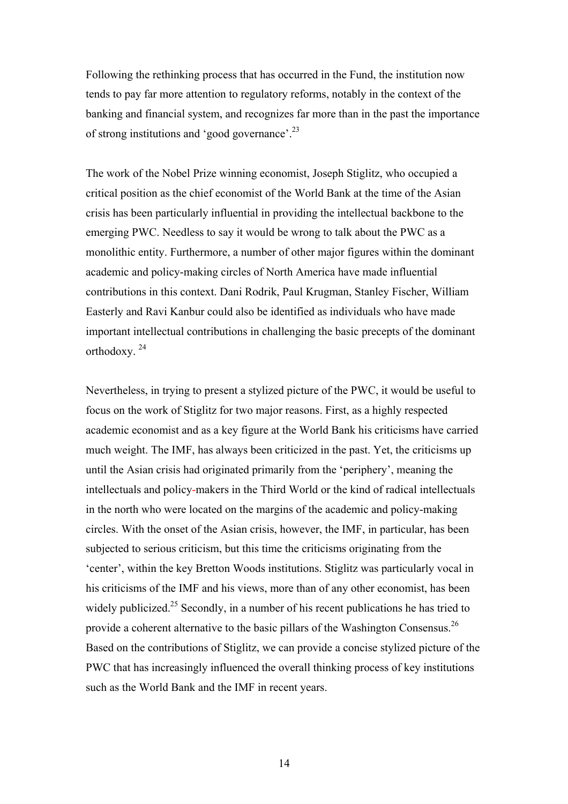Following the rethinking process that has occurred in the Fund, the institution now tends to pay far more attention to regulatory reforms, notably in the context of the banking and financial system, and recognizes far more than in the past the importance of strong institutions and 'good governance'.23

The work of the Nobel Prize winning economist, Joseph Stiglitz, who occupied a critical position as the chief economist of the World Bank at the time of the Asian crisis has been particularly influential in providing the intellectual backbone to the emerging PWC. Needless to say it would be wrong to talk about the PWC as a monolithic entity. Furthermore, a number of other major figures within the dominant academic and policy-making circles of North America have made influential contributions in this context. Dani Rodrik, Paul Krugman, Stanley Fischer, William Easterly and Ravi Kanbur could also be identified as individuals who have made important intellectual contributions in challenging the basic precepts of the dominant orthodoxy. 24

Nevertheless, in trying to present a stylized picture of the PWC, it would be useful to focus on the work of Stiglitz for two major reasons. First, as a highly respected academic economist and as a key figure at the World Bank his criticisms have carried much weight. The IMF, has always been criticized in the past. Yet, the criticisms up until the Asian crisis had originated primarily from the 'periphery', meaning the intellectuals and policy-makers in the Third World or the kind of radical intellectuals in the north who were located on the margins of the academic and policy-making circles. With the onset of the Asian crisis, however, the IMF, in particular, has been subjected to serious criticism, but this time the criticisms originating from the 'center', within the key Bretton Woods institutions. Stiglitz was particularly vocal in his criticisms of the IMF and his views, more than of any other economist, has been widely publicized.<sup>25</sup> Secondly, in a number of his recent publications he has tried to provide a coherent alternative to the basic pillars of the Washington Consensus.<sup>26</sup> Based on the contributions of Stiglitz, we can provide a concise stylized picture of the PWC that has increasingly influenced the overall thinking process of key institutions such as the World Bank and the IMF in recent years.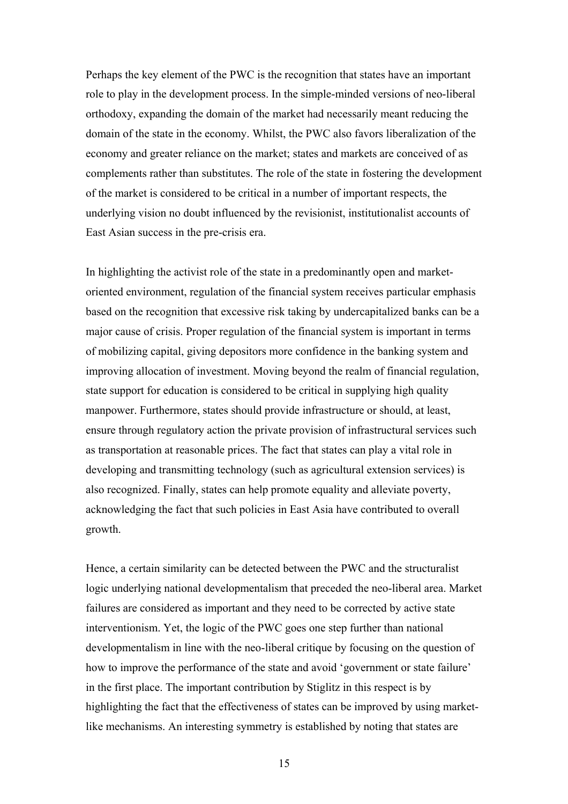Perhaps the key element of the PWC is the recognition that states have an important role to play in the development process. In the simple-minded versions of neo-liberal orthodoxy, expanding the domain of the market had necessarily meant reducing the domain of the state in the economy. Whilst, the PWC also favors liberalization of the economy and greater reliance on the market; states and markets are conceived of as complements rather than substitutes. The role of the state in fostering the development of the market is considered to be critical in a number of important respects, the underlying vision no doubt influenced by the revisionist, institutionalist accounts of East Asian success in the pre-crisis era.

In highlighting the activist role of the state in a predominantly open and marketoriented environment, regulation of the financial system receives particular emphasis based on the recognition that excessive risk taking by undercapitalized banks can be a major cause of crisis. Proper regulation of the financial system is important in terms of mobilizing capital, giving depositors more confidence in the banking system and improving allocation of investment. Moving beyond the realm of financial regulation, state support for education is considered to be critical in supplying high quality manpower. Furthermore, states should provide infrastructure or should, at least, ensure through regulatory action the private provision of infrastructural services such as transportation at reasonable prices. The fact that states can play a vital role in developing and transmitting technology (such as agricultural extension services) is also recognized. Finally, states can help promote equality and alleviate poverty, acknowledging the fact that such policies in East Asia have contributed to overall growth.

Hence, a certain similarity can be detected between the PWC and the structuralist logic underlying national developmentalism that preceded the neo-liberal area. Market failures are considered as important and they need to be corrected by active state interventionism. Yet, the logic of the PWC goes one step further than national developmentalism in line with the neo-liberal critique by focusing on the question of how to improve the performance of the state and avoid 'government or state failure' in the first place. The important contribution by Stiglitz in this respect is by highlighting the fact that the effectiveness of states can be improved by using marketlike mechanisms. An interesting symmetry is established by noting that states are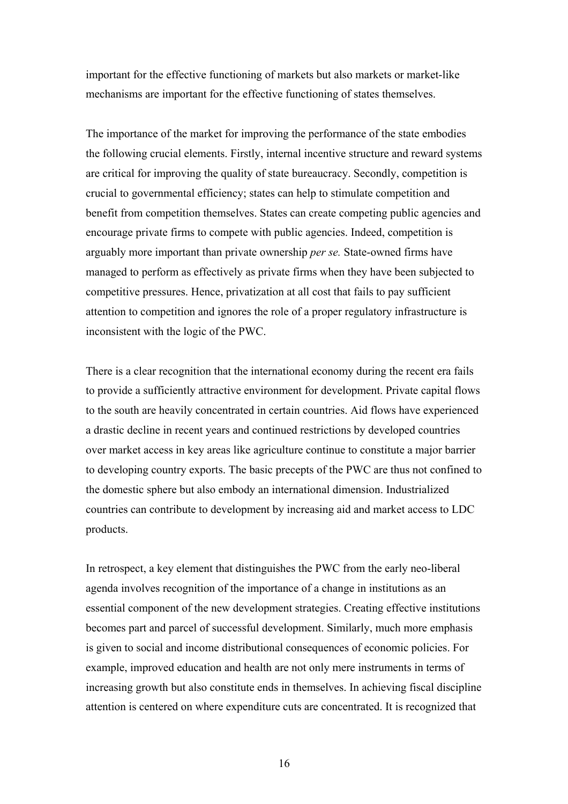important for the effective functioning of markets but also markets or market-like mechanisms are important for the effective functioning of states themselves.

The importance of the market for improving the performance of the state embodies the following crucial elements. Firstly, internal incentive structure and reward systems are critical for improving the quality of state bureaucracy. Secondly, competition is crucial to governmental efficiency; states can help to stimulate competition and benefit from competition themselves. States can create competing public agencies and encourage private firms to compete with public agencies. Indeed, competition is arguably more important than private ownership *per se.* State-owned firms have managed to perform as effectively as private firms when they have been subjected to competitive pressures. Hence, privatization at all cost that fails to pay sufficient attention to competition and ignores the role of a proper regulatory infrastructure is inconsistent with the logic of the PWC.

There is a clear recognition that the international economy during the recent era fails to provide a sufficiently attractive environment for development. Private capital flows to the south are heavily concentrated in certain countries. Aid flows have experienced a drastic decline in recent years and continued restrictions by developed countries over market access in key areas like agriculture continue to constitute a major barrier to developing country exports. The basic precepts of the PWC are thus not confined to the domestic sphere but also embody an international dimension. Industrialized countries can contribute to development by increasing aid and market access to LDC products.

In retrospect, a key element that distinguishes the PWC from the early neo-liberal agenda involves recognition of the importance of a change in institutions as an essential component of the new development strategies. Creating effective institutions becomes part and parcel of successful development. Similarly, much more emphasis is given to social and income distributional consequences of economic policies. For example, improved education and health are not only mere instruments in terms of increasing growth but also constitute ends in themselves. In achieving fiscal discipline attention is centered on where expenditure cuts are concentrated. It is recognized that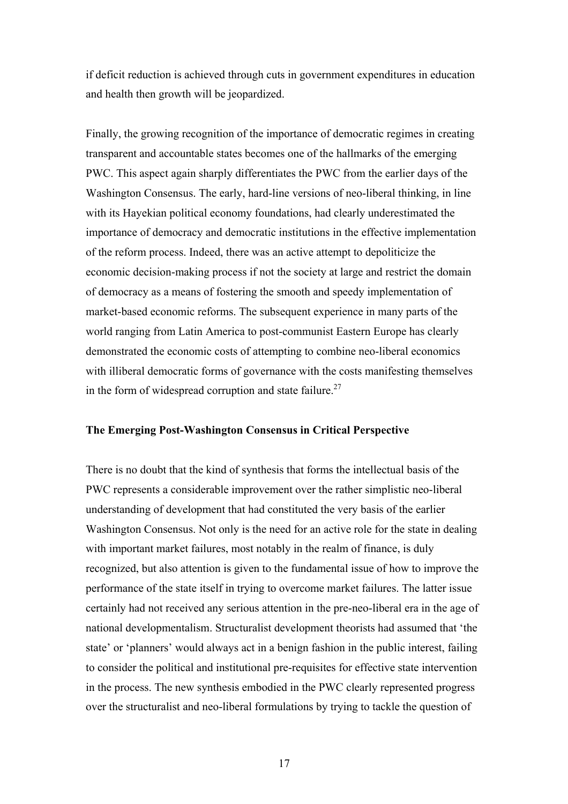if deficit reduction is achieved through cuts in government expenditures in education and health then growth will be jeopardized.

Finally, the growing recognition of the importance of democratic regimes in creating transparent and accountable states becomes one of the hallmarks of the emerging PWC. This aspect again sharply differentiates the PWC from the earlier days of the Washington Consensus. The early, hard-line versions of neo-liberal thinking, in line with its Hayekian political economy foundations, had clearly underestimated the importance of democracy and democratic institutions in the effective implementation of the reform process. Indeed, there was an active attempt to depoliticize the economic decision-making process if not the society at large and restrict the domain of democracy as a means of fostering the smooth and speedy implementation of market-based economic reforms. The subsequent experience in many parts of the world ranging from Latin America to post-communist Eastern Europe has clearly demonstrated the economic costs of attempting to combine neo-liberal economics with illiberal democratic forms of governance with the costs manifesting themselves in the form of widespread corruption and state failure.<sup>27</sup>

#### **The Emerging Post-Washington Consensus in Critical Perspective**

There is no doubt that the kind of synthesis that forms the intellectual basis of the PWC represents a considerable improvement over the rather simplistic neo-liberal understanding of development that had constituted the very basis of the earlier Washington Consensus. Not only is the need for an active role for the state in dealing with important market failures, most notably in the realm of finance, is duly recognized, but also attention is given to the fundamental issue of how to improve the performance of the state itself in trying to overcome market failures. The latter issue certainly had not received any serious attention in the pre-neo-liberal era in the age of national developmentalism. Structuralist development theorists had assumed that 'the state' or 'planners' would always act in a benign fashion in the public interest, failing to consider the political and institutional pre-requisites for effective state intervention in the process. The new synthesis embodied in the PWC clearly represented progress over the structuralist and neo-liberal formulations by trying to tackle the question of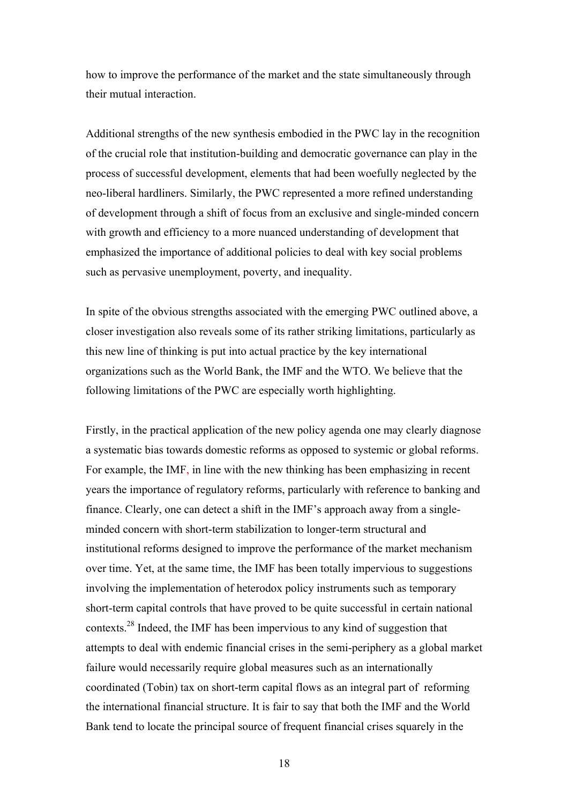how to improve the performance of the market and the state simultaneously through their mutual interaction.

Additional strengths of the new synthesis embodied in the PWC lay in the recognition of the crucial role that institution-building and democratic governance can play in the process of successful development, elements that had been woefully neglected by the neo-liberal hardliners. Similarly, the PWC represented a more refined understanding of development through a shift of focus from an exclusive and single-minded concern with growth and efficiency to a more nuanced understanding of development that emphasized the importance of additional policies to deal with key social problems such as pervasive unemployment, poverty, and inequality.

In spite of the obvious strengths associated with the emerging PWC outlined above, a closer investigation also reveals some of its rather striking limitations, particularly as this new line of thinking is put into actual practice by the key international organizations such as the World Bank, the IMF and the WTO. We believe that the following limitations of the PWC are especially worth highlighting.

Firstly, in the practical application of the new policy agenda one may clearly diagnose a systematic bias towards domestic reforms as opposed to systemic or global reforms. For example, the IMF, in line with the new thinking has been emphasizing in recent years the importance of regulatory reforms, particularly with reference to banking and finance. Clearly, one can detect a shift in the IMF's approach away from a singleminded concern with short-term stabilization to longer-term structural and institutional reforms designed to improve the performance of the market mechanism over time. Yet, at the same time, the IMF has been totally impervious to suggestions involving the implementation of heterodox policy instruments such as temporary short-term capital controls that have proved to be quite successful in certain national contexts.28 Indeed, the IMF has been impervious to any kind of suggestion that attempts to deal with endemic financial crises in the semi-periphery as a global market failure would necessarily require global measures such as an internationally coordinated (Tobin) tax on short-term capital flows as an integral part of reforming the international financial structure. It is fair to say that both the IMF and the World Bank tend to locate the principal source of frequent financial crises squarely in the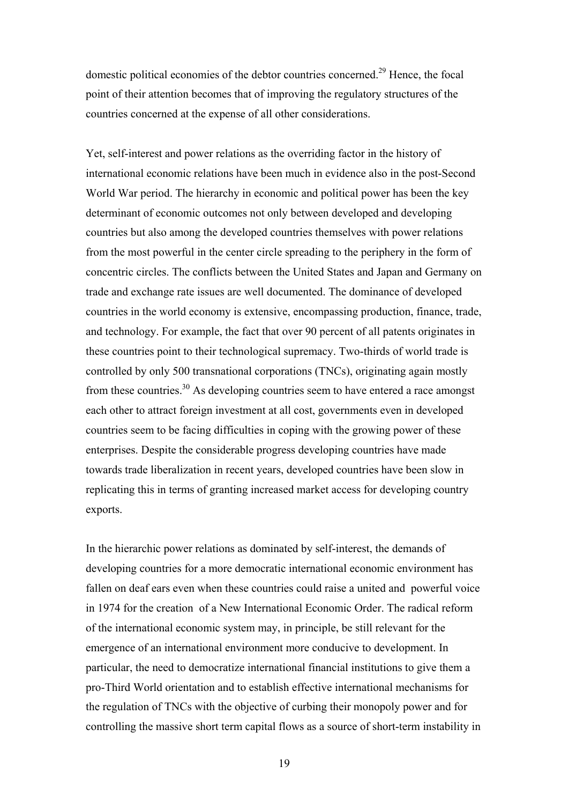domestic political economies of the debtor countries concerned.<sup>29</sup> Hence, the focal point of their attention becomes that of improving the regulatory structures of the countries concerned at the expense of all other considerations.

Yet, self-interest and power relations as the overriding factor in the history of international economic relations have been much in evidence also in the post-Second World War period. The hierarchy in economic and political power has been the key determinant of economic outcomes not only between developed and developing countries but also among the developed countries themselves with power relations from the most powerful in the center circle spreading to the periphery in the form of concentric circles. The conflicts between the United States and Japan and Germany on trade and exchange rate issues are well documented. The dominance of developed countries in the world economy is extensive, encompassing production, finance, trade, and technology. For example, the fact that over 90 percent of all patents originates in these countries point to their technological supremacy. Two-thirds of world trade is controlled by only 500 transnational corporations (TNCs), originating again mostly from these countries.30 As developing countries seem to have entered a race amongst each other to attract foreign investment at all cost, governments even in developed countries seem to be facing difficulties in coping with the growing power of these enterprises. Despite the considerable progress developing countries have made towards trade liberalization in recent years, developed countries have been slow in replicating this in terms of granting increased market access for developing country exports.

In the hierarchic power relations as dominated by self-interest, the demands of developing countries for a more democratic international economic environment has fallen on deaf ears even when these countries could raise a united and powerful voice in 1974 for the creation of a New International Economic Order. The radical reform of the international economic system may, in principle, be still relevant for the emergence of an international environment more conducive to development. In particular, the need to democratize international financial institutions to give them a pro-Third World orientation and to establish effective international mechanisms for the regulation of TNCs with the objective of curbing their monopoly power and for controlling the massive short term capital flows as a source of short-term instability in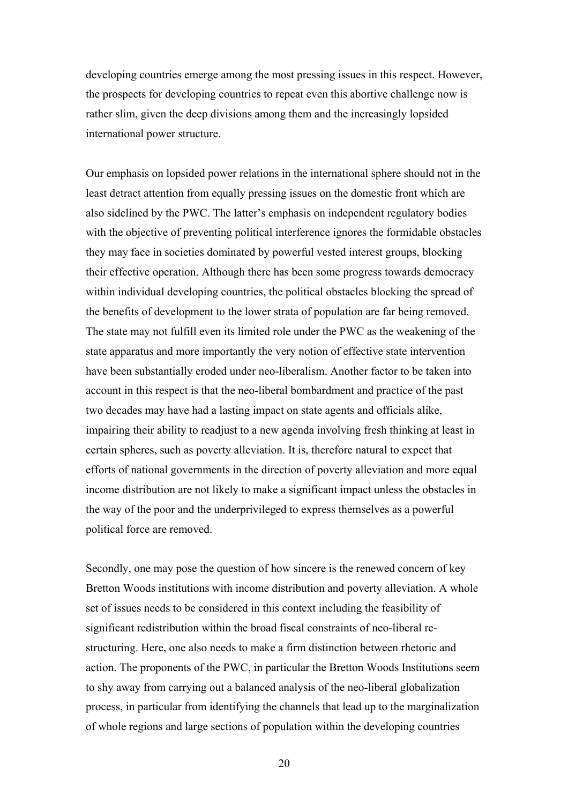developing countries emerge among the most pressing issues in this respect. However, the prospects for developing countries to repeat even this abortive challenge now is rather slim, given the deep divisions among them and the increasingly lopsided international power structure.

Our emphasis on lopsided power relations in the international sphere should not in the least detract attention from equally pressing issues on the domestic front which are also sidelined by the PWC. The latter's emphasis on independent regulatory bodies with the objective of preventing political interference ignores the formidable obstacles they may face in societies dominated by powerful vested interest groups, blocking their effective operation. Although there has been some progress towards democracy within individual developing countries, the political obstacles blocking the spread of the benefits of development to the lower strata of population are far being removed. The state may not fulfill even its limited role under the PWC as the weakening of the state apparatus and more importantly the very notion of effective state intervention have been substantially eroded under neo-liberalism. Another factor to be taken into account in this respect is that the neo-liberal bombardment and practice of the past two decades may have had a lasting impact on state agents and officials alike, impairing their ability to readjust to a new agenda involving fresh thinking at least in certain spheres, such as poverty alleviation. It is, therefore natural to expect that efforts of national governments in the direction of poverty alleviation and more equal income distribution are not likely to make a significant impact unless the obstacles in the way of the poor and the underprivileged to express themselves as a powerful political force are removed.

Secondly, one may pose the question of how sincere is the renewed concern of key Bretton Woods institutions with income distribution and poverty alleviation. A whole set of issues needs to be considered in this context including the feasibility of significant redistribution within the broad fiscal constraints of neo-liberal restructuring. Here, one also needs to make a firm distinction between rhetoric and action. The proponents of the PWC, in particular the Bretton Woods Institutions seem to shy away from carrying out a balanced analysis of the neo-liberal globalization process, in particular from identifying the channels that lead up to the marginalization of whole regions and large sections of population within the developing countries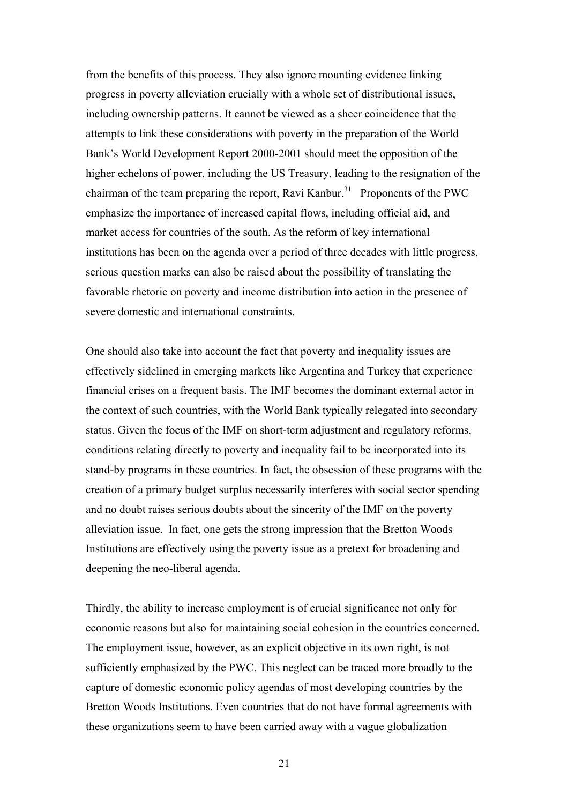from the benefits of this process. They also ignore mounting evidence linking progress in poverty alleviation crucially with a whole set of distributional issues, including ownership patterns. It cannot be viewed as a sheer coincidence that the attempts to link these considerations with poverty in the preparation of the World Bank's World Development Report 2000-2001 should meet the opposition of the higher echelons of power, including the US Treasury, leading to the resignation of the chairman of the team preparing the report, Ravi Kanbur.<sup>31</sup> Proponents of the PWC emphasize the importance of increased capital flows, including official aid, and market access for countries of the south. As the reform of key international institutions has been on the agenda over a period of three decades with little progress, serious question marks can also be raised about the possibility of translating the favorable rhetoric on poverty and income distribution into action in the presence of severe domestic and international constraints.

One should also take into account the fact that poverty and inequality issues are effectively sidelined in emerging markets like Argentina and Turkey that experience financial crises on a frequent basis. The IMF becomes the dominant external actor in the context of such countries, with the World Bank typically relegated into secondary status. Given the focus of the IMF on short-term adjustment and regulatory reforms, conditions relating directly to poverty and inequality fail to be incorporated into its stand-by programs in these countries. In fact, the obsession of these programs with the creation of a primary budget surplus necessarily interferes with social sector spending and no doubt raises serious doubts about the sincerity of the IMF on the poverty alleviation issue. In fact, one gets the strong impression that the Bretton Woods Institutions are effectively using the poverty issue as a pretext for broadening and deepening the neo-liberal agenda.

Thirdly, the ability to increase employment is of crucial significance not only for economic reasons but also for maintaining social cohesion in the countries concerned. The employment issue, however, as an explicit objective in its own right, is not sufficiently emphasized by the PWC. This neglect can be traced more broadly to the capture of domestic economic policy agendas of most developing countries by the Bretton Woods Institutions. Even countries that do not have formal agreements with these organizations seem to have been carried away with a vague globalization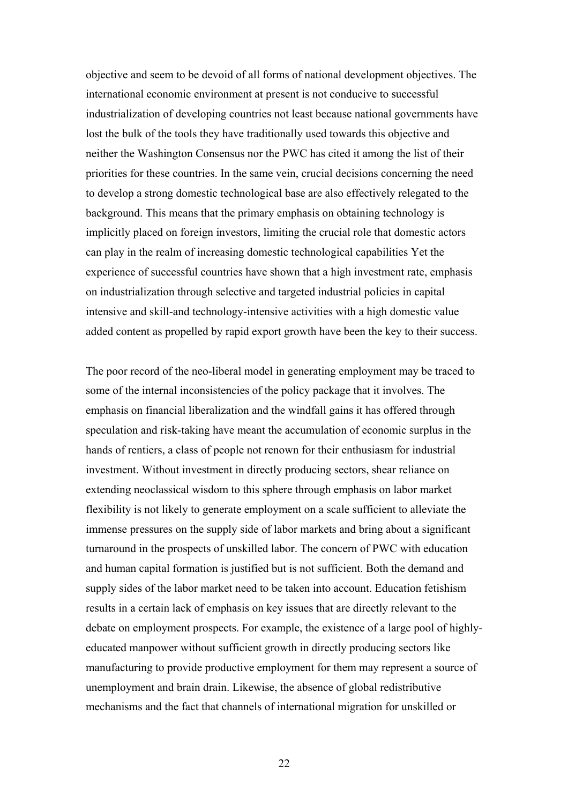objective and seem to be devoid of all forms of national development objectives. The international economic environment at present is not conducive to successful industrialization of developing countries not least because national governments have lost the bulk of the tools they have traditionally used towards this objective and neither the Washington Consensus nor the PWC has cited it among the list of their priorities for these countries. In the same vein, crucial decisions concerning the need to develop a strong domestic technological base are also effectively relegated to the background. This means that the primary emphasis on obtaining technology is implicitly placed on foreign investors, limiting the crucial role that domestic actors can play in the realm of increasing domestic technological capabilities Yet the experience of successful countries have shown that a high investment rate, emphasis on industrialization through selective and targeted industrial policies in capital intensive and skill-and technology-intensive activities with a high domestic value added content as propelled by rapid export growth have been the key to their success.

The poor record of the neo-liberal model in generating employment may be traced to some of the internal inconsistencies of the policy package that it involves. The emphasis on financial liberalization and the windfall gains it has offered through speculation and risk-taking have meant the accumulation of economic surplus in the hands of rentiers, a class of people not renown for their enthusiasm for industrial investment. Without investment in directly producing sectors, shear reliance on extending neoclassical wisdom to this sphere through emphasis on labor market flexibility is not likely to generate employment on a scale sufficient to alleviate the immense pressures on the supply side of labor markets and bring about a significant turnaround in the prospects of unskilled labor. The concern of PWC with education and human capital formation is justified but is not sufficient. Both the demand and supply sides of the labor market need to be taken into account. Education fetishism results in a certain lack of emphasis on key issues that are directly relevant to the debate on employment prospects. For example, the existence of a large pool of highlyeducated manpower without sufficient growth in directly producing sectors like manufacturing to provide productive employment for them may represent a source of unemployment and brain drain. Likewise, the absence of global redistributive mechanisms and the fact that channels of international migration for unskilled or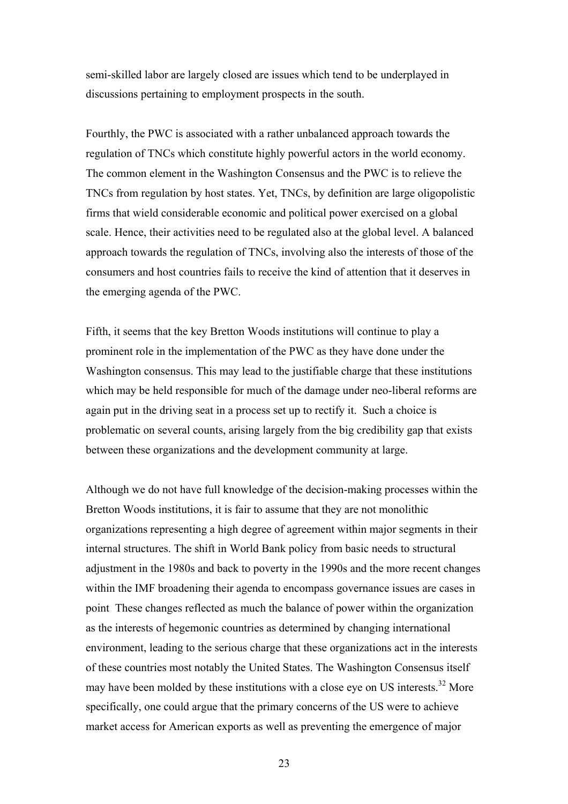semi-skilled labor are largely closed are issues which tend to be underplayed in discussions pertaining to employment prospects in the south.

Fourthly, the PWC is associated with a rather unbalanced approach towards the regulation of TNCs which constitute highly powerful actors in the world economy. The common element in the Washington Consensus and the PWC is to relieve the TNCs from regulation by host states. Yet, TNCs, by definition are large oligopolistic firms that wield considerable economic and political power exercised on a global scale. Hence, their activities need to be regulated also at the global level. A balanced approach towards the regulation of TNCs, involving also the interests of those of the consumers and host countries fails to receive the kind of attention that it deserves in the emerging agenda of the PWC.

Fifth, it seems that the key Bretton Woods institutions will continue to play a prominent role in the implementation of the PWC as they have done under the Washington consensus. This may lead to the justifiable charge that these institutions which may be held responsible for much of the damage under neo-liberal reforms are again put in the driving seat in a process set up to rectify it. Such a choice is problematic on several counts, arising largely from the big credibility gap that exists between these organizations and the development community at large.

Although we do not have full knowledge of the decision-making processes within the Bretton Woods institutions, it is fair to assume that they are not monolithic organizations representing a high degree of agreement within major segments in their internal structures. The shift in World Bank policy from basic needs to structural adjustment in the 1980s and back to poverty in the 1990s and the more recent changes within the IMF broadening their agenda to encompass governance issues are cases in point These changes reflected as much the balance of power within the organization as the interests of hegemonic countries as determined by changing international environment, leading to the serious charge that these organizations act in the interests of these countries most notably the United States. The Washington Consensus itself may have been molded by these institutions with a close eye on US interests.<sup>32</sup> More specifically, one could argue that the primary concerns of the US were to achieve market access for American exports as well as preventing the emergence of major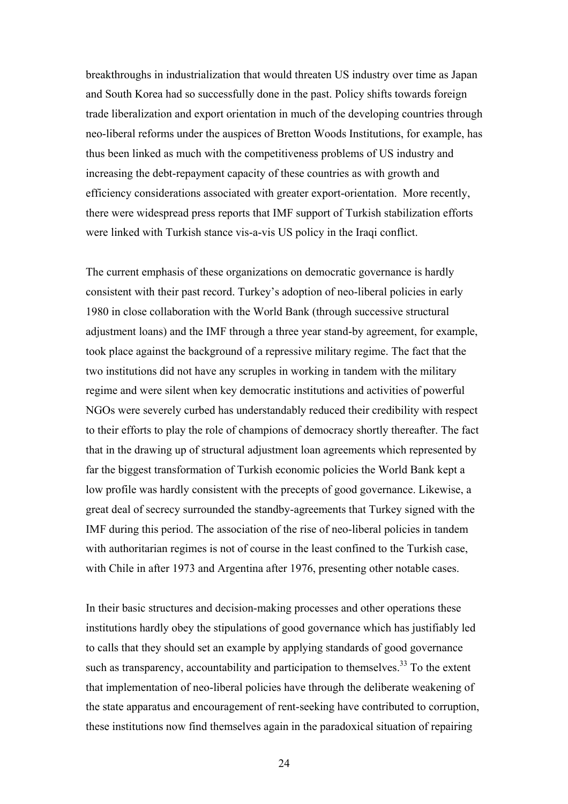breakthroughs in industrialization that would threaten US industry over time as Japan and South Korea had so successfully done in the past. Policy shifts towards foreign trade liberalization and export orientation in much of the developing countries through neo-liberal reforms under the auspices of Bretton Woods Institutions, for example, has thus been linked as much with the competitiveness problems of US industry and increasing the debt-repayment capacity of these countries as with growth and efficiency considerations associated with greater export-orientation. More recently, there were widespread press reports that IMF support of Turkish stabilization efforts were linked with Turkish stance vis-a-vis US policy in the Iraqi conflict.

The current emphasis of these organizations on democratic governance is hardly consistent with their past record. Turkey's adoption of neo-liberal policies in early 1980 in close collaboration with the World Bank (through successive structural adjustment loans) and the IMF through a three year stand-by agreement, for example, took place against the background of a repressive military regime. The fact that the two institutions did not have any scruples in working in tandem with the military regime and were silent when key democratic institutions and activities of powerful NGOs were severely curbed has understandably reduced their credibility with respect to their efforts to play the role of champions of democracy shortly thereafter. The fact that in the drawing up of structural adjustment loan agreements which represented by far the biggest transformation of Turkish economic policies the World Bank kept a low profile was hardly consistent with the precepts of good governance. Likewise, a great deal of secrecy surrounded the standby-agreements that Turkey signed with the IMF during this period. The association of the rise of neo-liberal policies in tandem with authoritarian regimes is not of course in the least confined to the Turkish case, with Chile in after 1973 and Argentina after 1976, presenting other notable cases.

In their basic structures and decision-making processes and other operations these institutions hardly obey the stipulations of good governance which has justifiably led to calls that they should set an example by applying standards of good governance such as transparency, accountability and participation to themselves.<sup>33</sup> To the extent that implementation of neo-liberal policies have through the deliberate weakening of the state apparatus and encouragement of rent-seeking have contributed to corruption, these institutions now find themselves again in the paradoxical situation of repairing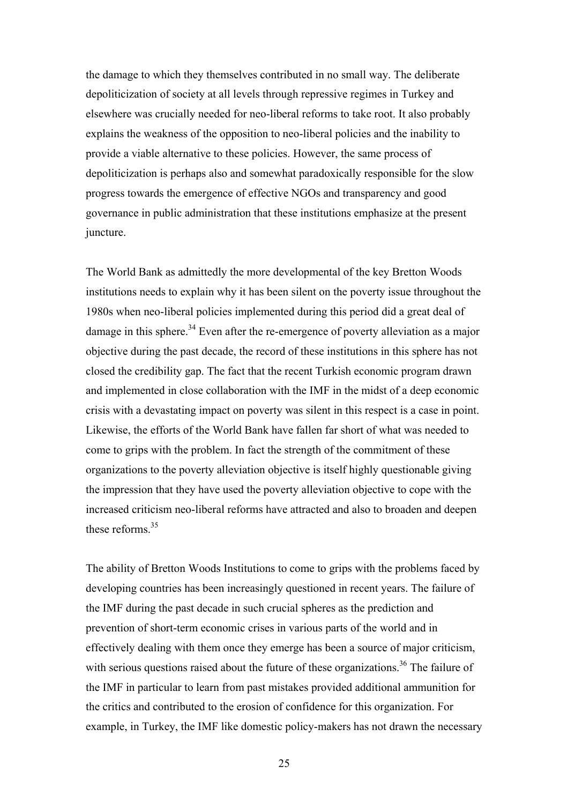the damage to which they themselves contributed in no small way. The deliberate depoliticization of society at all levels through repressive regimes in Turkey and elsewhere was crucially needed for neo-liberal reforms to take root. It also probably explains the weakness of the opposition to neo-liberal policies and the inability to provide a viable alternative to these policies. However, the same process of depoliticization is perhaps also and somewhat paradoxically responsible for the slow progress towards the emergence of effective NGOs and transparency and good governance in public administration that these institutions emphasize at the present juncture.

The World Bank as admittedly the more developmental of the key Bretton Woods institutions needs to explain why it has been silent on the poverty issue throughout the 1980s when neo-liberal policies implemented during this period did a great deal of damage in this sphere.<sup>34</sup> Even after the re-emergence of poverty alleviation as a major objective during the past decade, the record of these institutions in this sphere has not closed the credibility gap. The fact that the recent Turkish economic program drawn and implemented in close collaboration with the IMF in the midst of a deep economic crisis with a devastating impact on poverty was silent in this respect is a case in point. Likewise, the efforts of the World Bank have fallen far short of what was needed to come to grips with the problem. In fact the strength of the commitment of these organizations to the poverty alleviation objective is itself highly questionable giving the impression that they have used the poverty alleviation objective to cope with the increased criticism neo-liberal reforms have attracted and also to broaden and deepen these reforms  $35$ 

The ability of Bretton Woods Institutions to come to grips with the problems faced by developing countries has been increasingly questioned in recent years. The failure of the IMF during the past decade in such crucial spheres as the prediction and prevention of short-term economic crises in various parts of the world and in effectively dealing with them once they emerge has been a source of major criticism, with serious questions raised about the future of these organizations.<sup>36</sup> The failure of the IMF in particular to learn from past mistakes provided additional ammunition for the critics and contributed to the erosion of confidence for this organization. For example, in Turkey, the IMF like domestic policy-makers has not drawn the necessary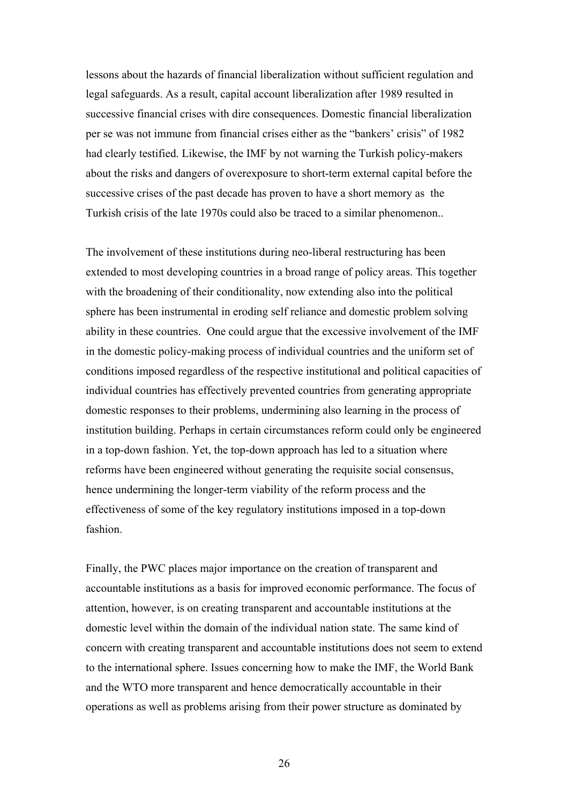lessons about the hazards of financial liberalization without sufficient regulation and legal safeguards. As a result, capital account liberalization after 1989 resulted in successive financial crises with dire consequences. Domestic financial liberalization per se was not immune from financial crises either as the "bankers' crisis" of 1982 had clearly testified. Likewise, the IMF by not warning the Turkish policy-makers about the risks and dangers of overexposure to short-term external capital before the successive crises of the past decade has proven to have a short memory as the Turkish crisis of the late 1970s could also be traced to a similar phenomenon..

The involvement of these institutions during neo-liberal restructuring has been extended to most developing countries in a broad range of policy areas. This together with the broadening of their conditionality, now extending also into the political sphere has been instrumental in eroding self reliance and domestic problem solving ability in these countries. One could argue that the excessive involvement of the IMF in the domestic policy-making process of individual countries and the uniform set of conditions imposed regardless of the respective institutional and political capacities of individual countries has effectively prevented countries from generating appropriate domestic responses to their problems, undermining also learning in the process of institution building. Perhaps in certain circumstances reform could only be engineered in a top-down fashion. Yet, the top-down approach has led to a situation where reforms have been engineered without generating the requisite social consensus, hence undermining the longer-term viability of the reform process and the effectiveness of some of the key regulatory institutions imposed in a top-down fashion.

Finally, the PWC places major importance on the creation of transparent and accountable institutions as a basis for improved economic performance. The focus of attention, however, is on creating transparent and accountable institutions at the domestic level within the domain of the individual nation state. The same kind of concern with creating transparent and accountable institutions does not seem to extend to the international sphere. Issues concerning how to make the IMF, the World Bank and the WTO more transparent and hence democratically accountable in their operations as well as problems arising from their power structure as dominated by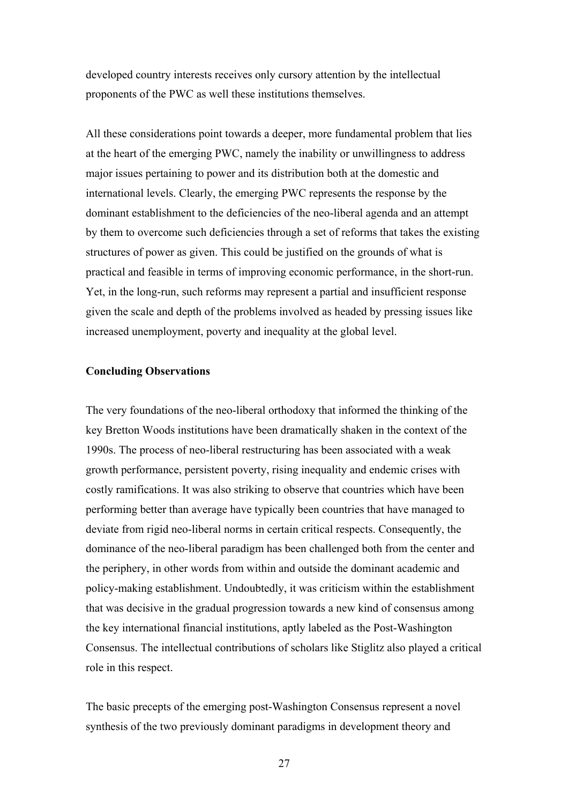developed country interests receives only cursory attention by the intellectual proponents of the PWC as well these institutions themselves.

All these considerations point towards a deeper, more fundamental problem that lies at the heart of the emerging PWC, namely the inability or unwillingness to address major issues pertaining to power and its distribution both at the domestic and international levels. Clearly, the emerging PWC represents the response by the dominant establishment to the deficiencies of the neo-liberal agenda and an attempt by them to overcome such deficiencies through a set of reforms that takes the existing structures of power as given. This could be justified on the grounds of what is practical and feasible in terms of improving economic performance, in the short-run. Yet, in the long-run, such reforms may represent a partial and insufficient response given the scale and depth of the problems involved as headed by pressing issues like increased unemployment, poverty and inequality at the global level.

#### **Concluding Observations**

The very foundations of the neo-liberal orthodoxy that informed the thinking of the key Bretton Woods institutions have been dramatically shaken in the context of the 1990s. The process of neo-liberal restructuring has been associated with a weak growth performance, persistent poverty, rising inequality and endemic crises with costly ramifications. It was also striking to observe that countries which have been performing better than average have typically been countries that have managed to deviate from rigid neo-liberal norms in certain critical respects. Consequently, the dominance of the neo-liberal paradigm has been challenged both from the center and the periphery, in other words from within and outside the dominant academic and policy-making establishment. Undoubtedly, it was criticism within the establishment that was decisive in the gradual progression towards a new kind of consensus among the key international financial institutions, aptly labeled as the Post-Washington Consensus. The intellectual contributions of scholars like Stiglitz also played a critical role in this respect.

The basic precepts of the emerging post-Washington Consensus represent a novel synthesis of the two previously dominant paradigms in development theory and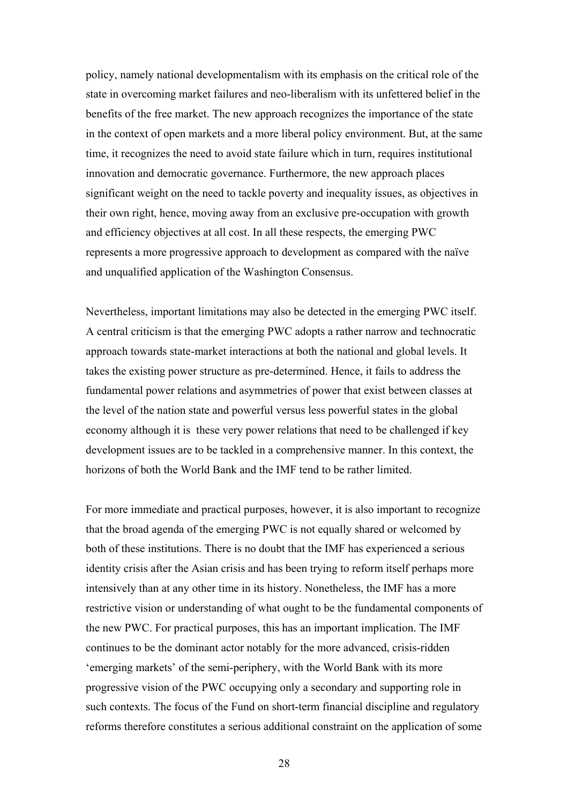policy, namely national developmentalism with its emphasis on the critical role of the state in overcoming market failures and neo-liberalism with its unfettered belief in the benefits of the free market. The new approach recognizes the importance of the state in the context of open markets and a more liberal policy environment. But, at the same time, it recognizes the need to avoid state failure which in turn, requires institutional innovation and democratic governance. Furthermore, the new approach places significant weight on the need to tackle poverty and inequality issues, as objectives in their own right, hence, moving away from an exclusive pre-occupation with growth and efficiency objectives at all cost. In all these respects, the emerging PWC represents a more progressive approach to development as compared with the naïve and unqualified application of the Washington Consensus.

Nevertheless, important limitations may also be detected in the emerging PWC itself. A central criticism is that the emerging PWC adopts a rather narrow and technocratic approach towards state-market interactions at both the national and global levels. It takes the existing power structure as pre-determined. Hence, it fails to address the fundamental power relations and asymmetries of power that exist between classes at the level of the nation state and powerful versus less powerful states in the global economy although it is these very power relations that need to be challenged if key development issues are to be tackled in a comprehensive manner. In this context, the horizons of both the World Bank and the IMF tend to be rather limited.

For more immediate and practical purposes, however, it is also important to recognize that the broad agenda of the emerging PWC is not equally shared or welcomed by both of these institutions. There is no doubt that the IMF has experienced a serious identity crisis after the Asian crisis and has been trying to reform itself perhaps more intensively than at any other time in its history. Nonetheless, the IMF has a more restrictive vision or understanding of what ought to be the fundamental components of the new PWC. For practical purposes, this has an important implication. The IMF continues to be the dominant actor notably for the more advanced, crisis-ridden 'emerging markets' of the semi-periphery, with the World Bank with its more progressive vision of the PWC occupying only a secondary and supporting role in such contexts. The focus of the Fund on short-term financial discipline and regulatory reforms therefore constitutes a serious additional constraint on the application of some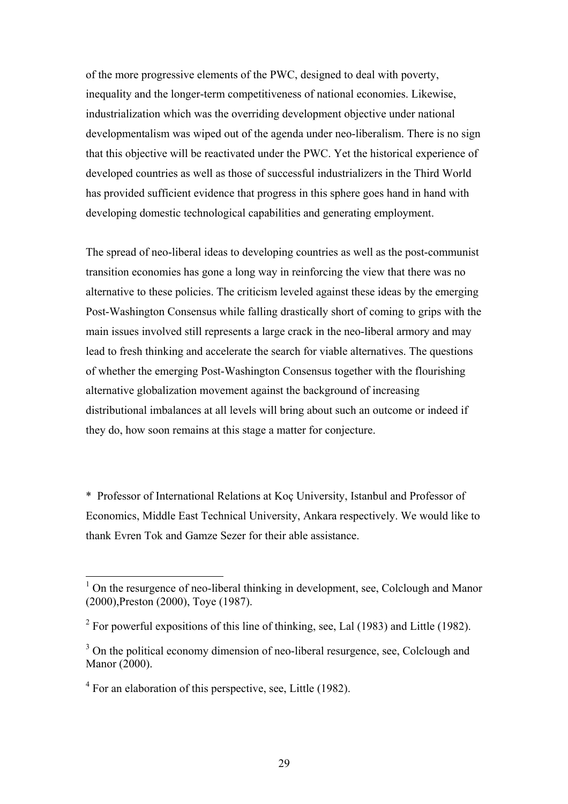of the more progressive elements of the PWC, designed to deal with poverty, inequality and the longer-term competitiveness of national economies. Likewise, industrialization which was the overriding development objective under national developmentalism was wiped out of the agenda under neo-liberalism. There is no sign that this objective will be reactivated under the PWC. Yet the historical experience of developed countries as well as those of successful industrializers in the Third World has provided sufficient evidence that progress in this sphere goes hand in hand with developing domestic technological capabilities and generating employment.

The spread of neo-liberal ideas to developing countries as well as the post-communist transition economies has gone a long way in reinforcing the view that there was no alternative to these policies. The criticism leveled against these ideas by the emerging Post-Washington Consensus while falling drastically short of coming to grips with the main issues involved still represents a large crack in the neo-liberal armory and may lead to fresh thinking and accelerate the search for viable alternatives. The questions of whether the emerging Post-Washington Consensus together with the flourishing alternative globalization movement against the background of increasing distributional imbalances at all levels will bring about such an outcome or indeed if they do, how soon remains at this stage a matter for conjecture.

\* Professor of International Relations at Koç University, Istanbul and Professor of Economics, Middle East Technical University, Ankara respectively. We would like to thank Evren Tok and Gamze Sezer for their able assistance.

<sup>&</sup>lt;sup>1</sup> On the resurgence of neo-liberal thinking in development, see, Colclough and Manor (2000),Preston (2000), Toye (1987).

<sup>&</sup>lt;sup>2</sup> For powerful expositions of this line of thinking, see, Lal (1983) and Little (1982).

<sup>&</sup>lt;sup>3</sup> On the political economy dimension of neo-liberal resurgence, see, Colclough and Manor (2000).

 $4$  For an elaboration of this perspective, see, Little (1982).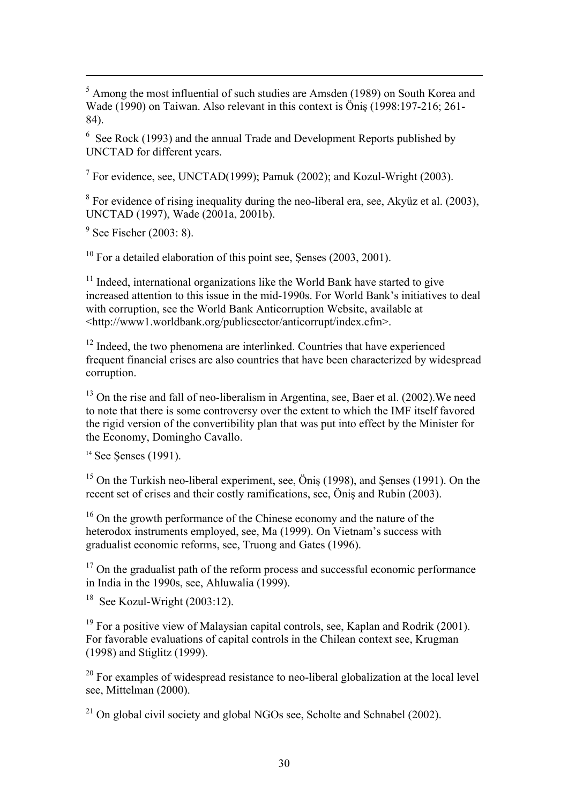<sup>5</sup> Among the most influential of such studies are Amsden (1989) on South Korea and Wade (1990) on Taiwan. Also relevant in this context is Öniş (1998:197-216; 261- 84).

 $6$  See Rock (1993) and the annual Trade and Development Reports published by UNCTAD for different years.

<sup>7</sup> For evidence, see, UNCTAD(1999); Pamuk (2002); and Kozul-Wright (2003).

 $8$  For evidence of rising inequality during the neo-liberal era, see, Akyüz et al. (2003), UNCTAD (1997), Wade (2001a, 2001b).

 $9^9$  See Fischer (2003: 8).

1

 $10$  For a detailed elaboration of this point see, Senses (2003, 2001).

<sup>11</sup> Indeed, international organizations like the World Bank have started to give increased attention to this issue in the mid-1990s. For World Bank's initiatives to deal with corruption, see the World Bank Anticorruption Website, available at <http://www1.worldbank.org/publicsector/anticorrupt/index.cfm>.

<sup>12</sup> Indeed, the two phenomena are interlinked. Countries that have experienced frequent financial crises are also countries that have been characterized by widespread corruption.

<sup>13</sup> On the rise and fall of neo-liberalism in Argentina, see, Baer et al. (2002). We need to note that there is some controversy over the extent to which the IMF itself favored the rigid version of the convertibility plan that was put into effect by the Minister for the Economy, Domingho Cavallo.

<sup>14</sup> See Senses (1991).

<sup>15</sup> On the Turkish neo-liberal experiment, see, Öniş (1998), and Şenses (1991). On the recent set of crises and their costly ramifications, see, Öniş and Rubin (2003).

<sup>16</sup> On the growth performance of the Chinese economy and the nature of the heterodox instruments employed, see, Ma (1999). On Vietnam's success with gradualist economic reforms, see, Truong and Gates (1996).

<sup>17</sup> On the gradualist path of the reform process and successful economic performance in India in the 1990s, see, Ahluwalia (1999).

<sup>18</sup> See Kozul-Wright  $(2003:12)$ .

 $19$  For a positive view of Malaysian capital controls, see, Kaplan and Rodrik (2001). For favorable evaluations of capital controls in the Chilean context see, Krugman (1998) and Stiglitz (1999).

 $20$  For examples of widespread resistance to neo-liberal globalization at the local level see, Mittelman (2000).

 $^{21}$  On global civil society and global NGOs see, Scholte and Schnabel (2002).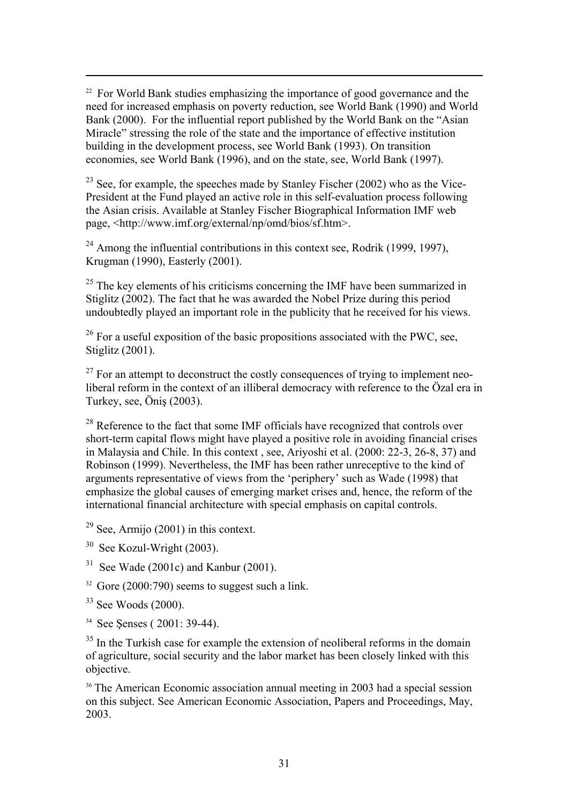<sup>22</sup> For World Bank studies emphasizing the importance of good governance and the need for increased emphasis on poverty reduction, see World Bank (1990) and World Bank (2000). For the influential report published by the World Bank on the "Asian Miracle" stressing the role of the state and the importance of effective institution building in the development process, see World Bank (1993). On transition economies, see World Bank (1996), and on the state, see, World Bank (1997).

 $23$  See, for example, the speeches made by Stanley Fischer (2002) who as the Vice-President at the Fund played an active role in this self-evaluation process following the Asian crisis. Available at Stanley Fischer Biographical Information IMF web page, <http://www.imf.org/external/np/omd/bios/sf.htm>.

 $24$  Among the influential contributions in this context see, Rodrik (1999, 1997), Krugman (1990), Easterly (2001).

 $25$  The key elements of his criticisms concerning the IMF have been summarized in Stiglitz  $(2002)$ . The fact that he was awarded the Nobel Prize during this period undoubtedly played an important role in the publicity that he received for his views.

 $26$  For a useful exposition of the basic propositions associated with the PWC, see, Stiglitz (2001).

 $27$  For an attempt to deconstruct the costly consequences of trying to implement neoliberal reform in the context of an illiberal democracy with reference to the Özal era in Turkey, see, Öniş (2003).

<sup>28</sup> Reference to the fact that some IMF officials have recognized that controls over short-term capital flows might have played a positive role in avoiding financial crises in Malaysia and Chile. In this context , see, Ariyoshi et al. (2000: 22-3, 26-8, 37) and Robinson (1999). Nevertheless, the IMF has been rather unreceptive to the kind of arguments representative of views from the 'periphery' such as Wade (1998) that emphasize the global causes of emerging market crises and, hence, the reform of the international financial architecture with special emphasis on capital controls.

- $29$  See, Armijo (2001) in this context.
- <sup>30</sup> See Kozul-Wright (2003).
- $31$  See Wade (2001c) and Kanbur (2001).
- $32$  Gore (2000:790) seems to suggest such a link.
- $33$  See Woods (2000).

1

<sup>34</sup> See Senses ( 2001: 39-44).

<sup>35</sup> In the Turkish case for example the extension of neoliberal reforms in the domain of agriculture, social security and the labor market has been closely linked with this objective.

<sup>36</sup> The American Economic association annual meeting in 2003 had a special session on this subject. See American Economic Association, Papers and Proceedings, May, 2003.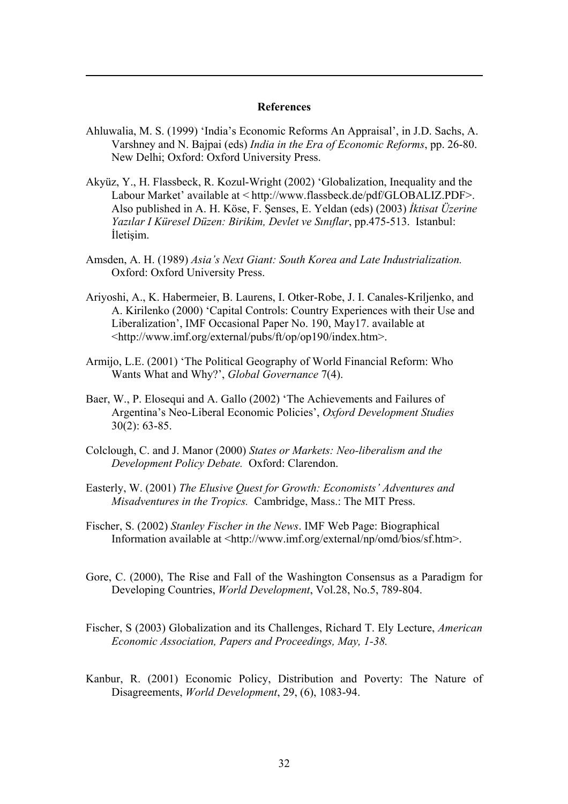#### **References**

- Ahluwalia, M. S. (1999) 'India's Economic Reforms An Appraisal', in J.D. Sachs, A. Varshney and N. Bajpai (eds) *India in the Era of Economic Reforms*, pp. 26-80. New Delhi; Oxford: Oxford University Press.
- Akyüz, Y., H. Flassbeck, R. Kozul-Wright (2002) 'Globalization, Inequality and the Labour Market' available at < http://www.flassbeck.de/pdf/GLOBALIZ.PDF>. Also published in A. H. Köse, F. Şenses, E. Yeldan (eds) (2003) *İktisat Üzerine Yazılar I Küresel Düzen: Birikim, Devlet ve Sınıflar*, pp.475-513. Istanbul: İletişim.
- Amsden, A. H. (1989) *Asia's Next Giant: South Korea and Late Industrialization.* Oxford: Oxford University Press.
- Ariyoshi, A., K. Habermeier, B. Laurens, I. Otker-Robe, J. I. Canales-Kriljenko, and A. Kirilenko (2000) 'Capital Controls: Country Experiences with their Use and Liberalization', IMF Occasional Paper No. 190, May17. available at <http://www.imf.org/external/pubs/ft/op/op190/index.htm>.
- Armijo, L.E. (2001) 'The Political Geography of World Financial Reform: Who Wants What and Why?', *Global Governance* 7(4).
- Baer, W., P. Elosequi and A. Gallo (2002) 'The Achievements and Failures of Argentina's Neo-Liberal Economic Policies', *Oxford Development Studies* 30(2): 63-85.
- Colclough, C. and J. Manor (2000) *States or Markets: Neo-liberalism and the Development Policy Debate.* Oxford: Clarendon.
- Easterly, W. (2001) *The Elusive Quest for Growth: Economists' Adventures and Misadventures in the Tropics.* Cambridge, Mass.: The MIT Press.
- Fischer, S. (2002) *Stanley Fischer in the News*. IMF Web Page: Biographical Information available at <http://www.imf.org/external/np/omd/bios/sf.htm>.
- Gore, C. (2000), The Rise and Fall of the Washington Consensus as a Paradigm for Developing Countries, *World Development*, Vol.28, No.5, 789-804.
- Fischer, S (2003) Globalization and its Challenges, Richard T. Ely Lecture, *American Economic Association, Papers and Proceedings, May, 1-38.*
- Kanbur, R. (2001) Economic Policy, Distribution and Poverty: The Nature of Disagreements, *World Development*, 29, (6), 1083-94.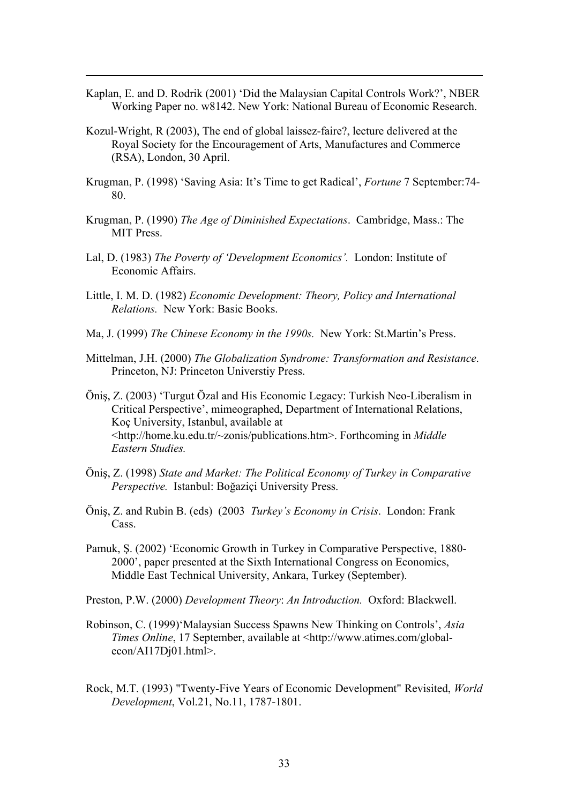- Kaplan, E. and D. Rodrik (2001) 'Did the Malaysian Capital Controls Work?', NBER Working Paper no. w8142. New York: National Bureau of Economic Research.
- Kozul-Wright, R (2003), The end of global laissez-faire?, lecture delivered at the Royal Society for the Encouragement of Arts, Manufactures and Commerce (RSA), London, 30 April.

- Krugman, P. (1998) 'Saving Asia: It's Time to get Radical', *Fortune* 7 September:74- 80.
- Krugman, P. (1990) *The Age of Diminished Expectations*. Cambridge, Mass.: The MIT Press.
- Lal, D. (1983) *The Poverty of 'Development Economics'.* London: Institute of Economic Affairs.
- Little, I. M. D. (1982) *Economic Development: Theory, Policy and International Relations.* New York: Basic Books.
- Ma, J. (1999) *The Chinese Economy in the 1990s.* New York: St.Martin's Press.
- Mittelman, J.H. (2000) *The Globalization Syndrome: Transformation and Resistance*. Princeton, NJ: Princeton Universtiy Press.
- Öniş, Z. (2003) 'Turgut Özal and His Economic Legacy: Turkish Neo-Liberalism in Critical Perspective', mimeographed, Department of International Relations, Koç University, Istanbul, available at <http://home.ku.edu.tr/~zonis/publications.htm>. Forthcoming in *Middle Eastern Studies.*
- Öniş, Z. (1998) *State and Market: The Political Economy of Turkey in Comparative Perspective.* Istanbul: Boğaziçi University Press.
- Öniş, Z. and Rubin B. (eds) (2003 *Turkey's Economy in Crisis*. London: Frank Cass.
- Pamuk, Ş. (2002) 'Economic Growth in Turkey in Comparative Perspective, 1880- 2000', paper presented at the Sixth International Congress on Economics, Middle East Technical University, Ankara, Turkey (September).
- Preston, P.W. (2000) *Development Theory*: *An Introduction.* Oxford: Blackwell.
- Robinson, C. (1999)'Malaysian Success Spawns New Thinking on Controls', *Asia Times Online*, 17 September, available at <http://www.atimes.com/globalecon/AI17Dj01.html>.
- Rock, M.T. (1993) "Twenty-Five Years of Economic Development" Revisited, *World Development*, Vol.21, No.11, 1787-1801.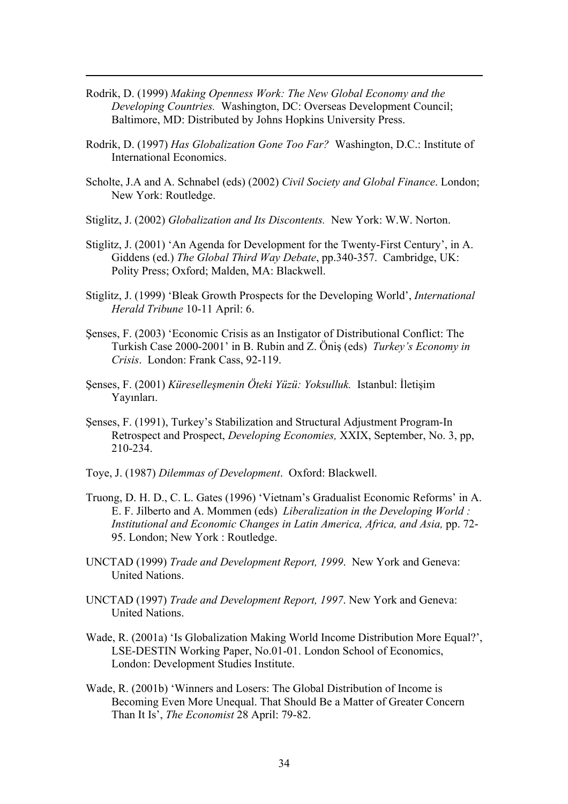Rodrik, D. (1999) *Making Openness Work: The New Global Economy and the Developing Countries.* Washington, DC: Overseas Development Council; Baltimore, MD: Distributed by Johns Hopkins University Press.

- Rodrik, D. (1997) *Has Globalization Gone Too Far?* Washington, D.C.: Institute of International Economics.
- Scholte, J.A and A. Schnabel (eds) (2002) *Civil Society and Global Finance*. London; New York: Routledge.
- Stiglitz, J. (2002) *Globalization and Its Discontents.* New York: W.W. Norton.
- Stiglitz, J. (2001) 'An Agenda for Development for the Twenty-First Century', in A. Giddens (ed.) *The Global Third Way Debate*, pp.340-357. Cambridge, UK: Polity Press; Oxford; Malden, MA: Blackwell.
- Stiglitz, J. (1999) 'Bleak Growth Prospects for the Developing World', *International Herald Tribune* 10-11 April: 6.
- Şenses, F. (2003) 'Economic Crisis as an Instigator of Distributional Conflict: The Turkish Case 2000-2001' in B. Rubin and Z. Öniş (eds) *Turkey's Economy in Crisis*. London: Frank Cass, 92-119.
- Şenses, F. (2001) *Küreselleşmenin Öteki Yüzü: Yoksulluk.* Istanbul: İletişim Yayınları.
- Şenses, F. (1991), Turkey's Stabilization and Structural Adjustment Program-In Retrospect and Prospect, *Developing Economies,* XXIX, September, No. 3, pp, 210-234.
- Toye, J. (1987) *Dilemmas of Development*. Oxford: Blackwell.
- Truong, D. H. D., C. L. Gates (1996) 'Vietnam's Gradualist Economic Reforms' in A. E. F. Jilberto and A. Mommen (eds) *Liberalization in the Developing World : Institutional and Economic Changes in Latin America, Africa, and Asia,* pp. 72- 95. London; New York : Routledge.
- UNCTAD (1999) *Trade and Development Report, 1999*. New York and Geneva: United Nations.
- UNCTAD (1997) *Trade and Development Report, 1997*. New York and Geneva: United Nations.
- Wade, R. (2001a) 'Is Globalization Making World Income Distribution More Equal?', LSE-DESTIN Working Paper, No.01-01. London School of Economics, London: Development Studies Institute.
- Wade, R. (2001b) 'Winners and Losers: The Global Distribution of Income is Becoming Even More Unequal. That Should Be a Matter of Greater Concern Than It Is', *The Economist* 28 April: 79-82.